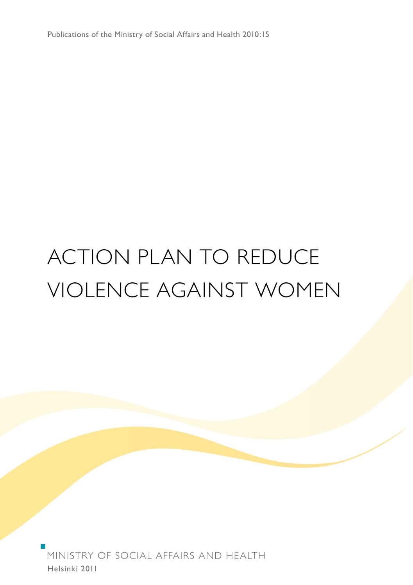Publications of the Ministry of Social Affairs and Health 2010:15

# ACTION PLAN TO REDUCE VIOLENCE AgAINST WOMEN

Helsinki 2011 MINISTRY OF SOCIAL AFFAIRS AND HEALTH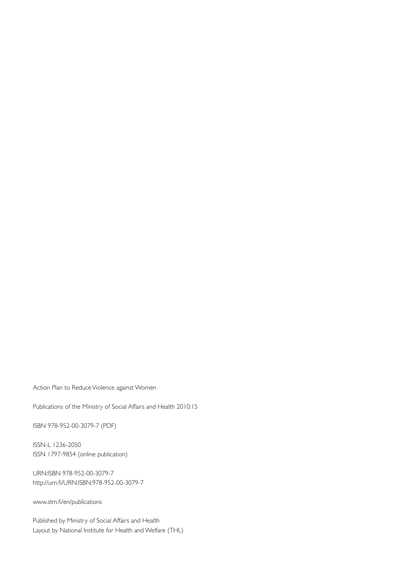Action Plan to Reduce Violence against Women

Publications of the Ministry of Social Affairs and Health 2010:15

ISBN 978-952-00-3079-7 (PDF)

ISSN-L 1236-2050 ISSN 1797-9854 (online publication)

URN:ISBN 978-952-00-3079-7 http://urn.fi/URN:ISBN:978-952-00-3079-7

www.stm.fi/en/publications

Published by Ministry of Social Affairs and Health Layout by National Institute for Health and Welfare (THL)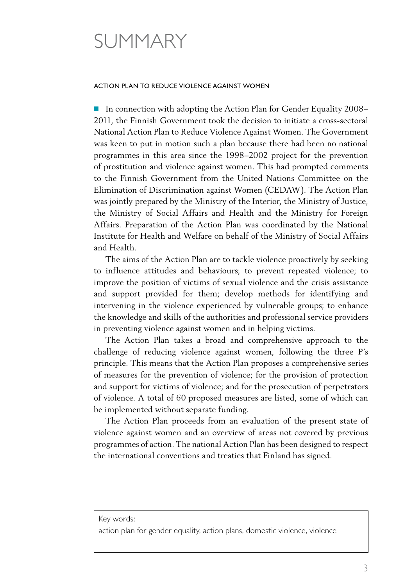## SUMMARY

#### ACTION PLAN TO REDUCE VIOLENCE AGAINST WOMEN

■ In connection with adopting the Action Plan for Gender Equality 2008– 2011, the Finnish Government took the decision to initiate a cross-sectoral National Action Plan to Reduce Violence Against Women. The Government was keen to put in motion such a plan because there had been no national programmes in this area since the 1998–2002 project for the prevention of prostitution and violence against women. This had prompted comments to the Finnish Government from the United Nations Committee on the Elimination of Discrimination against Women (CEDAW). The Action Plan was jointly prepared by the Ministry of the Interior, the Ministry of Justice, the Ministry of Social Affairs and Health and the Ministry for Foreign Affairs. Preparation of the Action Plan was coordinated by the National Institute for Health and Welfare on behalf of the Ministry of Social Affairs and Health.

The aims of the Action Plan are to tackle violence proactively by seeking to influence attitudes and behaviours; to prevent repeated violence; to improve the position of victims of sexual violence and the crisis assistance and support provided for them; develop methods for identifying and intervening in the violence experienced by vulnerable groups; to enhance the knowledge and skills of the authorities and professional service providers in preventing violence against women and in helping victims.

The Action Plan takes a broad and comprehensive approach to the challenge of reducing violence against women, following the three P's principle. This means that the Action Plan proposes a comprehensive series of measures for the prevention of violence; for the provision of protection and support for victims of violence; and for the prosecution of perpetrators of violence. A total of 60 proposed measures are listed, some of which can be implemented without separate funding.

The Action Plan proceeds from an evaluation of the present state of violence against women and an overview of areas not covered by previous programmes of action. The national Action Plan has been designed to respect the international conventions and treaties that Finland has signed.

Key words:

action plan for gender equality, action plans, domestic violence, violence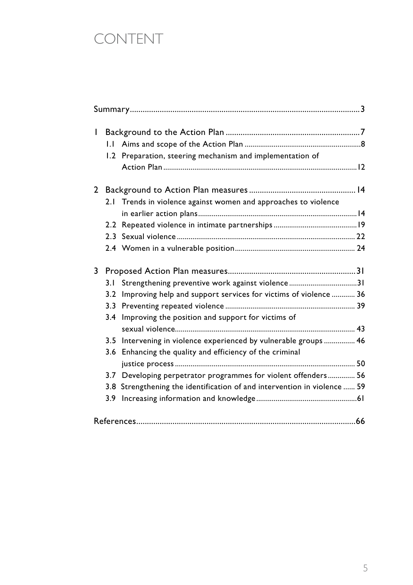## CONTENT

| I            |     |                                                                          |  |
|--------------|-----|--------------------------------------------------------------------------|--|
|              |     |                                                                          |  |
|              |     |                                                                          |  |
|              |     | 1.2 Preparation, steering mechanism and implementation of                |  |
|              |     |                                                                          |  |
| $\mathbf{2}$ |     |                                                                          |  |
|              |     | 2.1 Trends in violence against women and approaches to violence          |  |
|              |     |                                                                          |  |
|              |     |                                                                          |  |
|              |     |                                                                          |  |
|              |     |                                                                          |  |
| 3            |     |                                                                          |  |
|              | 3.1 | Strengthening preventive work against violence31                         |  |
|              | 3.2 | Improving help and support services for victims of violence  36          |  |
|              |     |                                                                          |  |
|              | 3.4 | Improving the position and support for victims of                        |  |
|              |     |                                                                          |  |
|              |     | 3.5 Intervening in violence experienced by vulnerable groups  46         |  |
|              |     | 3.6 Enhancing the quality and efficiency of the criminal                 |  |
|              |     |                                                                          |  |
|              |     | 3.7 Developing perpetrator programmes for violent offenders 56           |  |
|              |     | 3.8 Strengthening the identification of and intervention in violence  59 |  |
|              | 3.9 |                                                                          |  |
|              |     |                                                                          |  |
|              |     |                                                                          |  |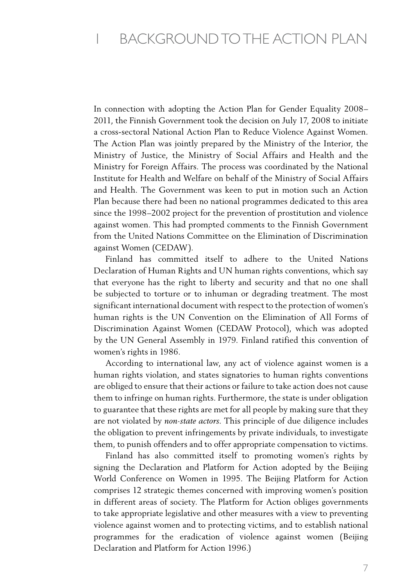In connection with adopting the Action Plan for Gender Equality 2008– 2011, the Finnish Government took the decision on July 17, 2008 to initiate a cross-sectoral National Action Plan to Reduce Violence Against Women. The Action Plan was jointly prepared by the Ministry of the Interior, the Ministry of Justice, the Ministry of Social Affairs and Health and the Ministry for Foreign Affairs. The process was coordinated by the National Institute for Health and Welfare on behalf of the Ministry of Social Affairs and Health. The Government was keen to put in motion such an Action Plan because there had been no national programmes dedicated to this area since the 1998–2002 project for the prevention of prostitution and violence against women. This had prompted comments to the Finnish Government from the United Nations Committee on the Elimination of Discrimination against Women (CEDAW).

Finland has committed itself to adhere to the United Nations Declaration of Human Rights and UN human rights conventions, which say that everyone has the right to liberty and security and that no one shall be subjected to torture or to inhuman or degrading treatment. The most significant international document with respect to the protection of women's human rights is the UN Convention on the Elimination of All Forms of Discrimination Against Women (CEDAW Protocol), which was adopted by the UN General Assembly in 1979. Finland ratified this convention of women's rights in 1986.

According to international law, any act of violence against women is a human rights violation, and states signatories to human rights conventions are obliged to ensure that their actions or failure to take action does not cause them to infringe on human rights. Furthermore, the state is under obligation to guarantee that these rights are met for all people by making sure that they are not violated by *non-state actors.* This principle of due diligence includes the obligation to prevent infringements by private individuals, to investigate them, to punish offenders and to offer appropriate compensation to victims.

Finland has also committed itself to promoting women's rights by signing the Declaration and Platform for Action adopted by the Beijing World Conference on Women in 1995. The Beijing Platform for Action comprises 12 strategic themes concerned with improving women's position in different areas of society. The Platform for Action obliges governments to take appropriate legislative and other measures with a view to preventing violence against women and to protecting victims, and to establish national programmes for the eradication of violence against women (Beijing Declaration and Platform for Action 1996.)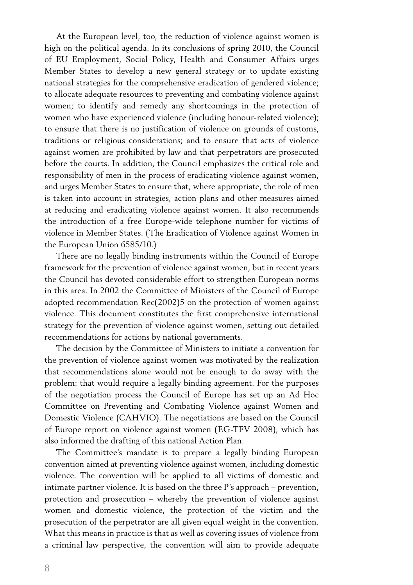At the European level, too, the reduction of violence against women is high on the political agenda. In its conclusions of spring 2010, the Council of EU Employment, Social Policy, Health and Consumer Affairs urges Member States to develop a new general strategy or to update existing national strategies for the comprehensive eradication of gendered violence; to allocate adequate resources to preventing and combating violence against women; to identify and remedy any shortcomings in the protection of women who have experienced violence (including honour-related violence); to ensure that there is no justification of violence on grounds of customs, traditions or religious considerations; and to ensure that acts of violence against women are prohibited by law and that perpetrators are prosecuted before the courts. In addition, the Council emphasizes the critical role and responsibility of men in the process of eradicating violence against women, and urges Member States to ensure that, where appropriate, the role of men is taken into account in strategies, action plans and other measures aimed at reducing and eradicating violence against women. It also recommends the introduction of a free Europe-wide telephone number for victims of violence in Member States. (The Eradication of Violence against Women in the European Union 6585/10.)

There are no legally binding instruments within the Council of Europe framework for the prevention of violence against women, but in recent years the Council has devoted considerable effort to strengthen European norms in this area. In 2002 the Committee of Ministers of the Council of Europe adopted recommendation Rec(2002)5 on the protection of women against violence. This document constitutes the first comprehensive international strategy for the prevention of violence against women, setting out detailed recommendations for actions by national governments.

The decision by the Committee of Ministers to initiate a convention for the prevention of violence against women was motivated by the realization that recommendations alone would not be enough to do away with the problem: that would require a legally binding agreement. For the purposes of the negotiation process the Council of Europe has set up an Ad Hoc Committee on Preventing and Combating Violence against Women and Domestic Violence (CAHVIO). The negotiations are based on the Council of Europe report on violence against women (EG-TFV 2008), which has also informed the drafting of this national Action Plan.

The Committee's mandate is to prepare a legally binding European convention aimed at preventing violence against women, including domestic violence. The convention will be applied to all victims of domestic and intimate partner violence. It is based on the three P's approach – prevention, protection and prosecution – whereby the prevention of violence against women and domestic violence, the protection of the victim and the prosecution of the perpetrator are all given equal weight in the convention. What this means in practice is that as well as covering issues of violence from a criminal law perspective, the convention will aim to provide adequate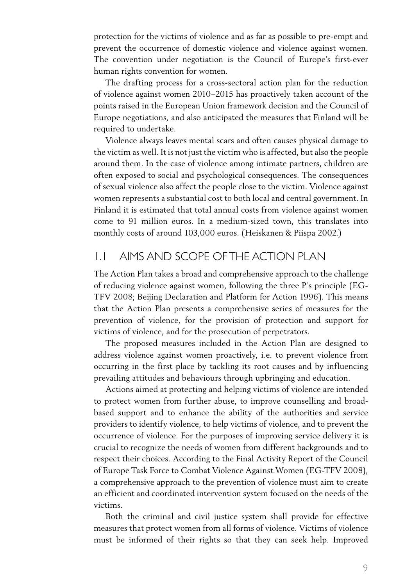protection for the victims of violence and as far as possible to pre-empt and prevent the occurrence of domestic violence and violence against women. The convention under negotiation is the Council of Europe's first-ever human rights convention for women.

The drafting process for a cross-sectoral action plan for the reduction of violence against women 2010–2015 has proactively taken account of the points raised in the European Union framework decision and the Council of Europe negotiations, and also anticipated the measures that Finland will be required to undertake.

Violence always leaves mental scars and often causes physical damage to the victim as well. It is not just the victim who is affected, but also the people around them. In the case of violence among intimate partners, children are often exposed to social and psychological consequences. The consequences of sexual violence also affect the people close to the victim. Violence against women represents a substantial cost to both local and central government. In Finland it is estimated that total annual costs from violence against women come to 91 million euros. In a medium-sized town, this translates into monthly costs of around 103,000 euros. (Heiskanen & Piispa 2002.)

#### 1.1 Aims and scope ofthe Action Plan

The Action Plan takes a broad and comprehensive approach to the challenge of reducing violence against women, following the three P's principle (EG-TFV 2008; Beijing Declaration and Platform for Action 1996). This means that the Action Plan presents a comprehensive series of measures for the prevention of violence, for the provision of protection and support for victims of violence, and for the prosecution of perpetrators.

The proposed measures included in the Action Plan are designed to address violence against women proactively, i.e. to prevent violence from occurring in the first place by tackling its root causes and by influencing prevailing attitudes and behaviours through upbringing and education.

Actions aimed at protecting and helping victims of violence are intended to protect women from further abuse, to improve counselling and broadbased support and to enhance the ability of the authorities and service providers to identify violence, to help victims of violence, and to prevent the occurrence of violence. For the purposes of improving service delivery it is crucial to recognize the needs of women from different backgrounds and to respect their choices. According to the Final Activity Report of the Council of Europe Task Force to Combat Violence Against Women (EG-TFV 2008), a comprehensive approach to the prevention of violence must aim to create an efficient and coordinated intervention system focused on the needs of the victims.

Both the criminal and civil justice system shall provide for effective measures that protect women from all forms of violence. Victims of violence must be informed of their rights so that they can seek help. Improved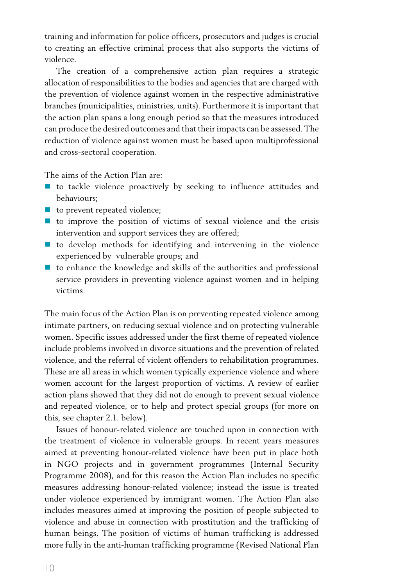training and information for police officers, prosecutors and judges is crucial to creating an effective criminal process that also supports the victims of violence.

The creation of a comprehensive action plan requires a strategic allocation of responsibilities to the bodies and agencies that are charged with the prevention of violence against women in the respective administrative branches (municipalities, ministries, units). Furthermore it is important that the action plan spans a long enough period so that the measures introduced can produce the desired outcomes and that theirimpacts can be assessed. The reduction of violence against women must be based upon multiprofessional and cross-sectoral cooperation.

The aims of the Action Plan are:

- to tackle violence proactively by seeking to influence attitudes and behaviours;
- to prevent repeated violence;
- to improve the position of victims of sexual violence and the crisis intervention and support services they are offered;
- $\blacksquare$  to develop methods for identifying and intervening in the violence experienced by vulnerable groups; and
- $\blacksquare$  to enhance the knowledge and skills of the authorities and professional service providers in preventing violence against women and in helping victims.

The main focus of the Action Plan is on preventing repeated violence among intimate partners, on reducing sexual violence and on protecting vulnerable women. Specific issues addressed under the first theme of repeated violence include problems involved in divorce situations and the prevention of related violence, and the referral of violent offenders to rehabilitation programmes. These are all areas in which women typically experience violence and where women account for the largest proportion of victims. A review of earlier action plans showed that they did not do enough to prevent sexual violence and repeated violence, or to help and protect special groups (for more on this, see chapter 2.1. below).

Issues of honour-related violence are touched upon in connection with the treatment of violence in vulnerable groups. In recent years measures aimed at preventing honour-related violence have been put in place both in NGO projects and in government programmes (Internal Security Programme 2008), and for this reason the Action Plan includes no specific measures addressing honour-related violence; instead the issue is treated under violence experienced by immigrant women. The Action Plan also includes measures aimed at improving the position of people subjected to violence and abuse in connection with prostitution and the trafficking of human beings. The position of victims of human trafficking is addressed more fully in the anti-human trafficking programme (Revised National Plan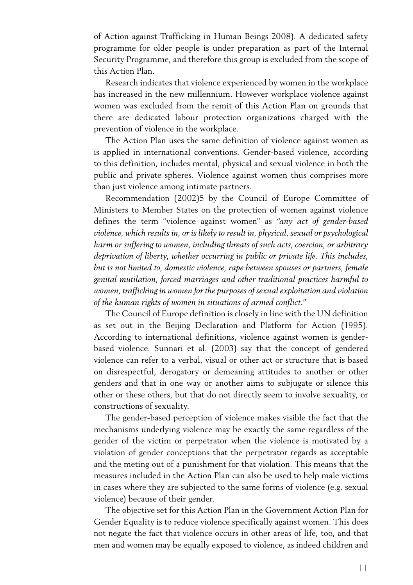of Action against Trafficking in Human Beings 2008). A dedicated safety programme for older people is under preparation as part of the Internal Security Programme, and therefore this group is excluded from the scope of this Action Plan.

Research indicates that violence experienced by women in the workplace has increased in the new millennium. However workplace violence against women was excluded from the remit of this Action Plan on grounds that there are dedicated labour protection organizations charged with the prevention of violence in the workplace.

The Action Plan uses the same definition of violence against women as is applied in international conventions. Gender-based violence, according to this definition, includes mental, physical and sexual violence in both the public and private spheres. Violence against women thus comprises more than just violence among intimate partners.

Recommendation (2002)5 by the Council of Europe Committee of Ministers to Member States on the protection of women against violence defines the term "violence against women" as *"any act of gender-based violence, which results in, or is likely to result in, physical, sexual or psychological harm or suffering to women, including threats of such acts, coercion, or arbitrary deprivation of liberty, whether occurring in public or private life. This includes, but is not limited to, domestic violence, rape between spouses or partners, female genital mutilation, forced marriages and other traditional practices harmful to women, trafficking in women for the purposes of sexual exploitation and violation of the human rights of women in situations of armed conflict."*

The Council of Europe definition is closely in line with the UN definition as set out in the Beijing Declaration and Platform for Action (1995). According to international definitions, violence against women is genderbased violence. Sunnari et al. (2003) say that the concept of gendered violence can refer to a verbal, visual or other act or structure that is based on disrespectful, derogatory or demeaning attitudes to another or other genders and that in one way or another aims to subjugate or silence this other or these others, but that do not directly seem to involve sexuality, or constructions of sexuality.

The gender-based perception of violence makes visible the fact that the mechanisms underlying violence may be exactly the same regardless of the gender of the victim or perpetrator when the violence is motivated by a violation of gender conceptions that the perpetrator regards as acceptable and the meting out of a punishment for that violation. This means that the measures included in the Action Plan can also be used to help male victims in cases where they are subjected to the same forms of violence (e.g. sexual violence) because of their gender.

The objective set for this Action Plan in the Government Action Plan for Gender Equality is to reduce violence specifically against women. This does not negate the fact that violence occurs in other areas of life, too, and that men and women may be equally exposed to violence, as indeed children and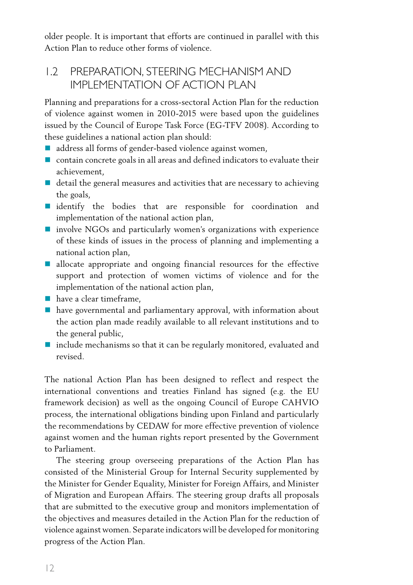older people. It is important that efforts are continued in parallel with this Action Plan to reduce other forms of violence.

#### 1.2 Preparation, steering mechanism and implementation of Action Plan

Planning and preparations for a cross-sectoral Action Plan for the reduction of violence against women in 2010-2015 were based upon the guidelines issued by the Council of Europe Task Force (EG-TFV 2008). According to these guidelines a national action plan should:

- address all forms of gender-based violence against women.
- contain concrete goals in all areas and defined indicators to evaluate their achievement,
- $\blacksquare$  detail the general measures and activities that are necessary to achieving the goals,
- **I** identify the bodies that are responsible for coordination and implementation of the national action plan,
- involve NGOs and particularly women's organizations with experience of these kinds of issues in the process of planning and implementing a national action plan,
- $\blacksquare$  allocate appropriate and ongoing financial resources for the effective support and protection of women victims of violence and for the implementation of the national action plan,
- have a clear timeframe.
- have governmental and parliamentary approval, with information about the action plan made readily available to all relevant institutions and to the general public,
- **n** include mechanisms so that it can be regularly monitored, evaluated and revised.

The national Action Plan has been designed to reflect and respect the international conventions and treaties Finland has signed (e.g. the EU framework decision) as well as the ongoing Council of Europe CAHVIO process, the international obligations binding upon Finland and particularly the recommendations by CEDAW for more effective prevention of violence against women and the human rights report presented by the Government to Parliament.

The steering group overseeing preparations of the Action Plan has consisted of the Ministerial Group for Internal Security supplemented by the Minister for Gender Equality, Minister for Foreign Affairs, and Minister of Migration and European Affairs. The steering group drafts all proposals that are submitted to the executive group and monitors implementation of the objectives and measures detailed in the Action Plan for the reduction of violence against women. Separate indicators will be developed for monitoring progress of the Action Plan.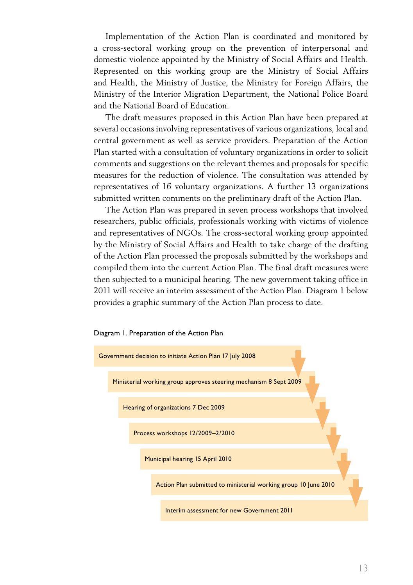Implementation of the Action Plan is coordinated and monitored by a cross-sectoral working group on the prevention of interpersonal and domestic violence appointed by the Ministry of Social Affairs and Health. Represented on this working group are the Ministry of Social Affairs and Health, the Ministry of Justice, the Ministry for Foreign Affairs, the Ministry of the Interior Migration Department, the National Police Board and the National Board of Education.

The draft measures proposed in this Action Plan have been prepared at several occasions involving representatives of various organizations, local and central government as well as service providers. Preparation of the Action Plan started with a consultation of voluntary organizations in order to solicit comments and suggestions on the relevant themes and proposals for specific measures for the reduction of violence. The consultation was attended by representatives of 16 voluntary organizations. A further 13 organizations submitted written comments on the preliminary draft of the Action Plan.

The Action Plan was prepared in seven process workshops that involved researchers, public officials, professionals working with victims of violence and representatives of NGOs. The cross-sectoral working group appointed by the Ministry of Social Affairs and Health to take charge of the drafting of the Action Plan processed the proposals submitted by the workshops and compiled them into the current Action Plan. The final draft measures were then subjected to a municipal hearing. The new government taking office in 2011 will receive an interim assessment of the Action Plan. Diagram 1 below provides a graphic summary of the Action Plan process to date.

Diagram 1. Preparation of the Action Plan

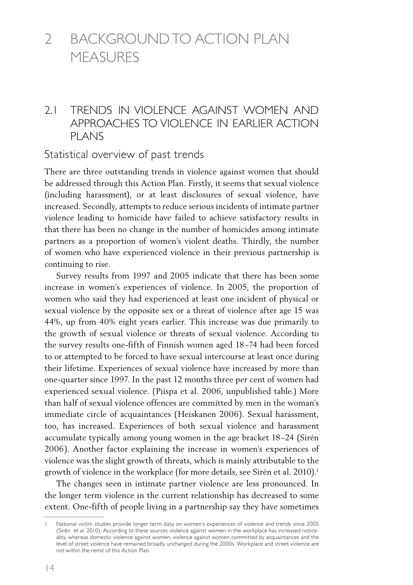## 2 Backgroundto Action Plan **MFASURES**

#### 2.1 Trends in violence against women and approaches to violence in earlier action plans

#### Statistical overview of past trends

There are three outstanding trends in violence against women that should be addressed through this Action Plan. Firstly, it seems that sexual violence (including harassment), or at least disclosures of sexual violence, have increased. Secondly, attempts to reduce serious incidents of intimate partner violence leading to homicide have failed to achieve satisfactory results in that there has been no change in the number of homicides among intimate partners as a proportion of women's violent deaths. Thirdly, the number of women who have experienced violence in their previous partnership is continuing to rise.

Survey results from 1997 and 2005 indicate that there has been some increase in women's experiences of violence. In 2005, the proportion of women who said they had experienced at least one incident of physical or sexual violence by the opposite sex or a threat of violence after age 15 was 44%, up from 40% eight years earlier. This increase was due primarily to the growth of sexual violence or threats of sexual violence. According to the survey results one-fifth of Finnish women aged 18–74 had been forced to or attempted to be forced to have sexual intercourse at least once during their lifetime. Experiences of sexual violence have increased by more than one-quarter since 1997. In the past 12 months three per cent of women had experienced sexual violence. (Piispa et al. 2006, unpublished table.) More than half of sexual violence offences are committed by men in the woman's immediate circle of acquaintances (Heiskanen 2006). Sexual harassment, too, has increased. Experiences of both sexual violence and harassment accumulate typically among young women in the age bracket 18–24 (Sirén 2006). Another factor explaining the increase in women's experiences of violence was the slight growth of threats, which is mainly attributable to the growth of violence in the workplace (for more details, see Sirén et al. 2010).<sup>1</sup>

The changes seen in intimate partner violence are less pronounced. In the longer term violence in the current relationship has decreased to some extent. One-fifth of people living in a partnership say they have sometimes

<sup>1</sup> National victim studies provide longer term data on women's experiences of violence and trends since 2005 (Sirén et al. 2010). According to these sources violence against women in the workplace has increased noticeably, whereas domestic violence against women, violence against women committed by acquaintances and the level of street violence have remained broadly unchanged during the 2000s. Workplace and street violence are not within the remit of this Action Plan.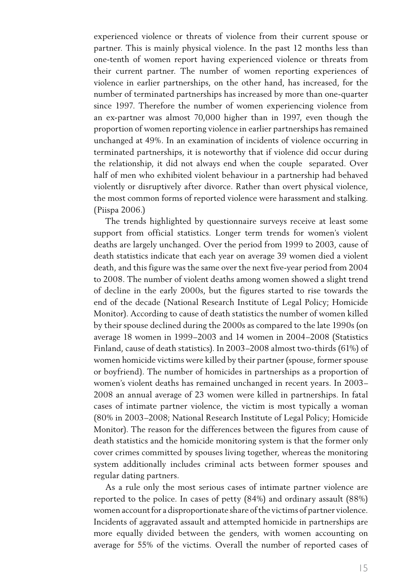experienced violence or threats of violence from their current spouse or partner. This is mainly physical violence. In the past 12 months less than one-tenth of women report having experienced violence or threats from their current partner. The number of women reporting experiences of violence in earlier partnerships, on the other hand, has increased, for the number of terminated partnerships has increased by more than one-quarter since 1997. Therefore the number of women experiencing violence from an ex-partner was almost 70,000 higher than in 1997, even though the proportion of women reporting violence in earlier partnerships has remained unchanged at 49%. In an examination of incidents of violence occurring in terminated partnerships, it is noteworthy that if violence did occur during the relationship, it did not always end when the couple separated. Over half of men who exhibited violent behaviour in a partnership had behaved violently or disruptively after divorce. Rather than overt physical violence, the most common forms of reported violence were harassment and stalking. (Piispa 2006.)

The trends highlighted by questionnaire surveys receive at least some support from official statistics. Longer term trends for women's violent deaths are largely unchanged. Over the period from 1999 to 2003, cause of death statistics indicate that each year on average 39 women died a violent death, and this figure was the same over the next five-year period from 2004 to 2008. The number of violent deaths among women showed a slight trend of decline in the early 2000s, but the figures started to rise towards the end of the decade (National Research Institute of Legal Policy; Homicide Monitor). According to cause of death statistics the number of women killed by their spouse declined during the 2000s as compared to the late 1990s (on average 18 women in 1999–2003 and 14 women in 2004–2008 (Statistics Finland, cause of death statistics). In 2003–2008 almost two-thirds (61%) of women homicide victims were killed by their partner (spouse, former spouse or boyfriend). The number of homicides in partnerships as a proportion of women's violent deaths has remained unchanged in recent years. In 2003– 2008 an annual average of 23 women were killed in partnerships. In fatal cases of intimate partner violence, the victim is most typically a woman (80% in 2003–2008; National Research Institute of Legal Policy; Homicide Monitor). The reason for the differences between the figures from cause of death statistics and the homicide monitoring system is that the former only cover crimes committed by spouses living together, whereas the monitoring system additionally includes criminal acts between former spouses and regular dating partners.

As a rule only the most serious cases of intimate partner violence are reported to the police. In cases of petty (84%) and ordinary assault (88%) women account for a disproportionate share of the victims of partner violence. Incidents of aggravated assault and attempted homicide in partnerships are more equally divided between the genders, with women accounting on average for 55% of the victims. Overall the number of reported cases of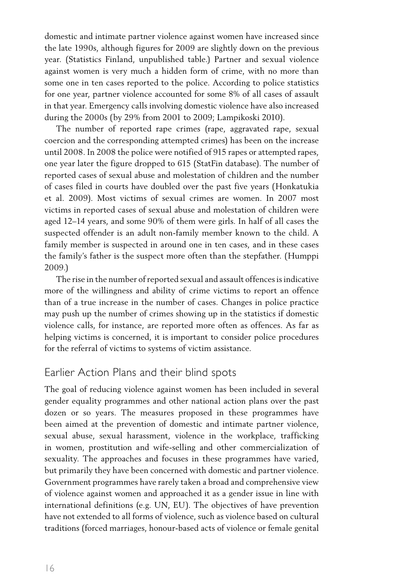domestic and intimate partner violence against women have increased since the late 1990s, although figures for 2009 are slightly down on the previous year. (Statistics Finland, unpublished table.) Partner and sexual violence against women is very much a hidden form of crime, with no more than some one in ten cases reported to the police. According to police statistics for one year, partner violence accounted for some 8% of all cases of assault in that year. Emergency calls involving domestic violence have also increased during the 2000s (by 29% from 2001 to 2009; Lampikoski 2010).

The number of reported rape crimes (rape, aggravated rape, sexual coercion and the corresponding attempted crimes) has been on the increase until 2008. In 2008 the police were notified of 915 rapes or attempted rapes, one year later the figure dropped to 615 (StatFin database). The number of reported cases of sexual abuse and molestation of children and the number of cases filed in courts have doubled over the past five years (Honkatukia et al. 2009). Most victims of sexual crimes are women. In 2007 most victims in reported cases of sexual abuse and molestation of children were aged 12–14 years, and some 90% of them were girls. In half of all cases the suspected offender is an adult non-family member known to the child. A family member is suspected in around one in ten cases, and in these cases the family's father is the suspect more often than the stepfather. (Humppi 2009.)

The rise in the number of reported sexual and assault offences is indicative more of the willingness and ability of crime victims to report an offence than of a true increase in the number of cases. Changes in police practice may push up the number of crimes showing up in the statistics if domestic violence calls, for instance, are reported more often as offences. As far as helping victims is concerned, it is important to consider police procedures for the referral of victims to systems of victim assistance.

#### Earlier Action Plans and their blind spots

The goal of reducing violence against women has been included in several gender equality programmes and other national action plans over the past dozen or so years. The measures proposed in these programmes have been aimed at the prevention of domestic and intimate partner violence, sexual abuse, sexual harassment, violence in the workplace, trafficking in women, prostitution and wife-selling and other commercialization of sexuality. The approaches and focuses in these programmes have varied, but primarily they have been concerned with domestic and partner violence. Government programmes have rarely taken a broad and comprehensive view of violence against women and approached it as a gender issue in line with international definitions (e.g. UN, EU). The objectives of have prevention have not extended to all forms of violence, such as violence based on cultural traditions (forced marriages, honour-based acts of violence or female genital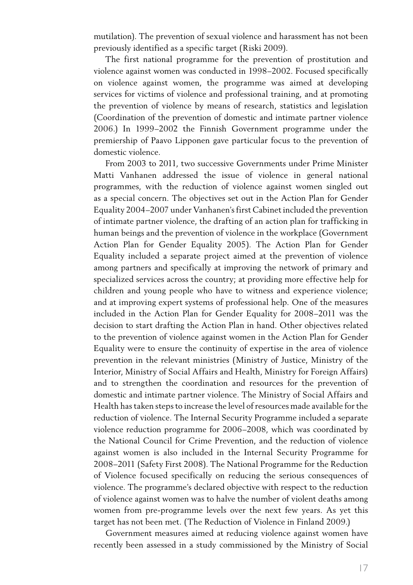mutilation). The prevention of sexual violence and harassment has not been previously identified as a specific target (Riski 2009).

The first national programme for the prevention of prostitution and violence against women was conducted in 1998–2002. Focused specifically on violence against women, the programme was aimed at developing services for victims of violence and professional training, and at promoting the prevention of violence by means of research, statistics and legislation (Coordination of the prevention of domestic and intimate partner violence 2006.) In 1999–2002 the Finnish Government programme under the premiership of Paavo Lipponen gave particular focus to the prevention of domestic violence.

From 2003 to 2011, two successive Governments under Prime Minister Matti Vanhanen addressed the issue of violence in general national programmes, with the reduction of violence against women singled out as a special concern. The objectives set out in the Action Plan for Gender Equality 2004–2007 under Vanhanen's first Cabinet included the prevention of intimate partner violence, the drafting of an action plan for trafficking in human beings and the prevention of violence in the workplace (Government Action Plan for Gender Equality 2005). The Action Plan for Gender Equality included a separate project aimed at the prevention of violence among partners and specifically at improving the network of primary and specialized services across the country; at providing more effective help for children and young people who have to witness and experience violence; and at improving expert systems of professional help. One of the measures included in the Action Plan for Gender Equality for 2008–2011 was the decision to start drafting the Action Plan in hand. Other objectives related to the prevention of violence against women in the Action Plan for Gender Equality were to ensure the continuity of expertise in the area of violence prevention in the relevant ministries (Ministry of Justice, Ministry of the Interior, Ministry of Social Affairs and Health, Ministry for Foreign Affairs) and to strengthen the coordination and resources for the prevention of domestic and intimate partner violence. The Ministry of Social Affairs and Health has taken steps to increase the level of resources made available for the reduction of violence. The Internal Security Programme included a separate violence reduction programme for 2006–2008, which was coordinated by the National Council for Crime Prevention, and the reduction of violence against women is also included in the Internal Security Programme for 2008–2011 (Safety First 2008). The National Programme for the Reduction of Violence focused specifically on reducing the serious consequences of violence. The programme's declared objective with respect to the reduction of violence against women was to halve the number of violent deaths among women from pre-programme levels over the next few years. As yet this target has not been met. (The Reduction of Violence in Finland 2009.)

Government measures aimed at reducing violence against women have recently been assessed in a study commissioned by the Ministry of Social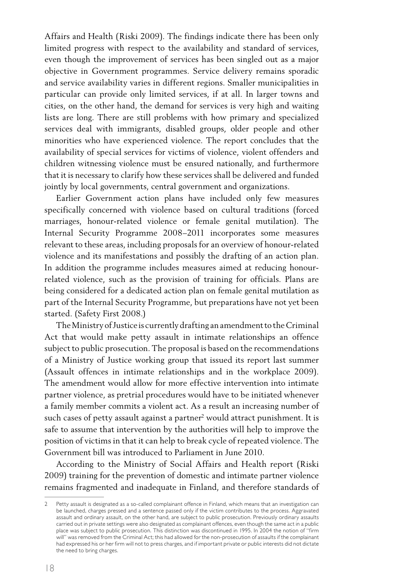Affairs and Health (Riski 2009). The findings indicate there has been only limited progress with respect to the availability and standard of services, even though the improvement of services has been singled out as a major objective in Government programmes. Service delivery remains sporadic and service availability varies in different regions. Smaller municipalities in particular can provide only limited services, if at all. In larger towns and cities, on the other hand, the demand for services is very high and waiting lists are long. There are still problems with how primary and specialized services deal with immigrants, disabled groups, older people and other minorities who have experienced violence. The report concludes that the availability of special services for victims of violence, violent offenders and children witnessing violence must be ensured nationally, and furthermore that it is necessary to clarify how these services shall be delivered and funded jointly by local governments, central government and organizations.

Earlier Government action plans have included only few measures specifically concerned with violence based on cultural traditions (forced marriages, honour-related violence or female genital mutilation). The Internal Security Programme 2008–2011 incorporates some measures relevant to these areas, including proposals for an overview of honour-related violence and its manifestations and possibly the drafting of an action plan. In addition the programme includes measures aimed at reducing honourrelated violence, such as the provision of training for officials. Plans are being considered for a dedicated action plan on female genital mutilation as part of the Internal Security Programme, but preparations have not yet been started. (Safety First 2008.)

The Ministry of Justice is currently drafting an amendment to the Criminal Act that would make petty assault in intimate relationships an offence subject to public prosecution. The proposal is based on the recommendations of a Ministry of Justice working group that issued its report last summer (Assault offences in intimate relationships and in the workplace 2009). The amendment would allow for more effective intervention into intimate partner violence, as pretrial procedures would have to be initiated whenever a family member commits a violent act. As a result an increasing number of such cases of petty assault against a partner<sup>2</sup> would attract punishment. It is safe to assume that intervention by the authorities will help to improve the position of victims in that it can help to break cycle of repeated violence. The Government bill was introduced to Parliament in June 2010.

According to the Ministry of Social Affairs and Health report (Riski 2009) training for the prevention of domestic and intimate partner violence remains fragmented and inadequate in Finland, and therefore standards of

<sup>2</sup> Petty assault is designated as a so-called complainant offence in Finland, which means that an investigation can be launched, charges pressed and a sentence passed only if the victim contributes to the process. Aggravated assault and ordinary assault, on the other hand, are subject to public prosecution. Previously ordinary assaults carried out in private settings were also designated as complainant offences, even though the same act in a public place was subject to public prosecution. This distinction was discontinued in 1995. In 2004 the notion of "firm will" was removed from the Criminal Act; this had allowed for the non-prosecution of assaults if the complainant had expressed his or her firm will not to press charges, and if important private or public interests did not dictate the need to bring charges.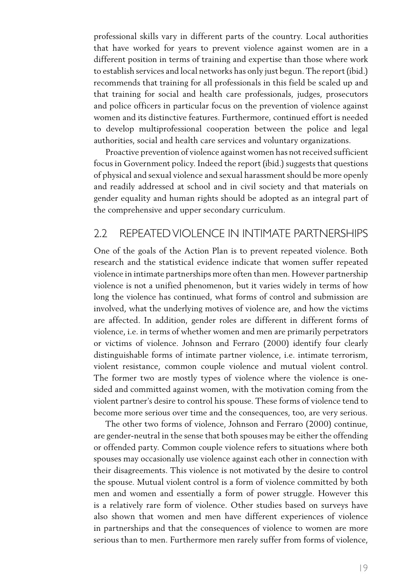professional skills vary in different parts of the country. Local authorities that have worked for years to prevent violence against women are in a different position in terms of training and expertise than those where work to establish services and local networks has only just begun. The report (ibid.) recommends that training for all professionals in this field be scaled up and that training for social and health care professionals, judges, prosecutors and police officers in particular focus on the prevention of violence against women and its distinctive features. Furthermore, continued effort is needed to develop multiprofessional cooperation between the police and legal authorities, social and health care services and voluntary organizations.

Proactive prevention of violence against women has not received sufficient focus in Government policy. Indeed the report (ibid.) suggests that questions of physical and sexual violence and sexual harassment should be more openly and readily addressed at school and in civil society and that materials on gender equality and human rights should be adopted as an integral part of the comprehensive and upper secondary curriculum.

#### 2.2 Repeatedviolence in intimate partnerships

One of the goals of the Action Plan is to prevent repeated violence. Both research and the statistical evidence indicate that women suffer repeated violence in intimate partnerships more often than men. However partnership violence is not a unified phenomenon, but it varies widely in terms of how long the violence has continued, what forms of control and submission are involved, what the underlying motives of violence are, and how the victims are affected. In addition, gender roles are different in different forms of violence, i.e. in terms of whether women and men are primarily perpetrators or victims of violence. Johnson and Ferraro (2000) identify four clearly distinguishable forms of intimate partner violence, i.e. intimate terrorism, violent resistance, common couple violence and mutual violent control. The former two are mostly types of violence where the violence is onesided and committed against women, with the motivation coming from the violent partner's desire to control his spouse. These forms of violence tend to become more serious over time and the consequences, too, are very serious.

The other two forms of violence, Johnson and Ferraro (2000) continue, are gender-neutral in the sense that both spouses may be either the offending or offended party. Common couple violence refers to situations where both spouses may occasionally use violence against each other in connection with their disagreements. This violence is not motivated by the desire to control the spouse. Mutual violent control is a form of violence committed by both men and women and essentially a form of power struggle. However this is a relatively rare form of violence. Other studies based on surveys have also shown that women and men have different experiences of violence in partnerships and that the consequences of violence to women are more serious than to men. Furthermore men rarely suffer from forms of violence,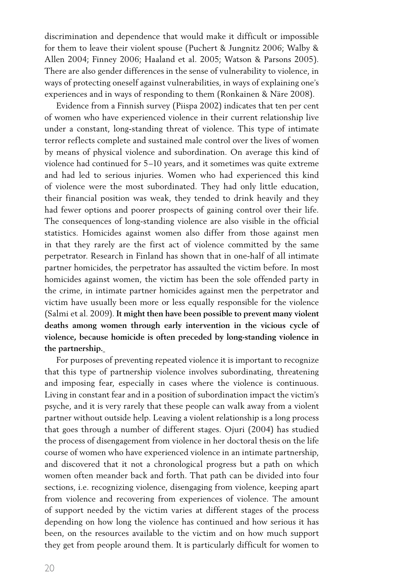discrimination and dependence that would make it difficult or impossible for them to leave their violent spouse (Puchert & Jungnitz 2006; Walby & Allen 2004; Finney 2006; Haaland et al. 2005; Watson & Parsons 2005). There are also gender differences in the sense of vulnerability to violence, in ways of protecting oneself against vulnerabilities, in ways of explaining one's experiences and in ways of responding to them (Ronkainen & Näre 2008).

Evidence from a Finnish survey (Piispa 2002) indicates that ten per cent of women who have experienced violence in their current relationship live under a constant, long-standing threat of violence. This type of intimate terror reflects complete and sustained male control over the lives of women by means of physical violence and subordination. On average this kind of violence had continued for 5–10 years, and it sometimes was quite extreme and had led to serious injuries. Women who had experienced this kind of violence were the most subordinated. They had only little education, their financial position was weak, they tended to drink heavily and they had fewer options and poorer prospects of gaining control over their life. The consequences of long-standing violence are also visible in the official statistics. Homicides against women also differ from those against men in that they rarely are the first act of violence committed by the same perpetrator. Research in Finland has shown that in one-half of all intimate partner homicides, the perpetrator has assaulted the victim before. In most homicides against women, the victim has been the sole offended party in the crime, in intimate partner homicides against men the perpetrator and victim have usually been more or less equally responsible for the violence (Salmi et al. 2009). **It might then have been possible to prevent many violent deaths among women through early intervention in the vicious cycle of violence, because homicide is often preceded by long-standing violence in the partnership.**

For purposes of preventing repeated violence it is important to recognize that this type of partnership violence involves subordinating, threatening and imposing fear, especially in cases where the violence is continuous. Living in constant fear and in a position of subordination impact the victim's psyche, and it is very rarely that these people can walk away from a violent partner without outside help. Leaving a violent relationship is a long process that goes through a number of different stages. Ojuri (2004) has studied the process of disengagement from violence in her doctoral thesis on the life course of women who have experienced violence in an intimate partnership, and discovered that it not a chronological progress but a path on which women often meander back and forth. That path can be divided into four sections, i.e. recognizing violence, disengaging from violence, keeping apart from violence and recovering from experiences of violence. The amount of support needed by the victim varies at different stages of the process depending on how long the violence has continued and how serious it has been, on the resources available to the victim and on how much support they get from people around them. It is particularly difficult for women to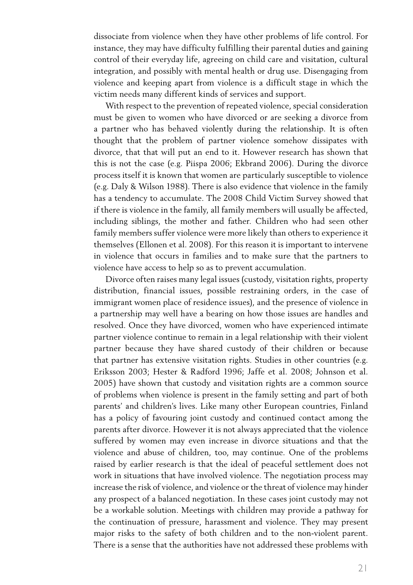dissociate from violence when they have other problems of life control. For instance, they may have difficulty fulfilling their parental duties and gaining control of their everyday life, agreeing on child care and visitation, cultural integration, and possibly with mental health or drug use. Disengaging from violence and keeping apart from violence is a difficult stage in which the victim needs many different kinds of services and support.

With respect to the prevention of repeated violence, special consideration must be given to women who have divorced or are seeking a divorce from a partner who has behaved violently during the relationship. It is often thought that the problem of partner violence somehow dissipates with divorce, that that will put an end to it. However research has shown that this is not the case (e.g. Piispa 2006; Ekbrand 2006). During the divorce process itself it is known that women are particularly susceptible to violence (e.g. Daly & Wilson 1988). There is also evidence that violence in the family has a tendency to accumulate. The 2008 Child Victim Survey showed that if there is violence in the family, all family members will usually be affected, including siblings, the mother and father. Children who had seen other family members suffer violence were more likely than others to experience it themselves (Ellonen et al. 2008). For this reason it is important to intervene in violence that occurs in families and to make sure that the partners to violence have access to help so as to prevent accumulation.

Divorce often raises many legal issues (custody, visitation rights, property distribution, financial issues, possible restraining orders, in the case of immigrant women place of residence issues), and the presence of violence in a partnership may well have a bearing on how those issues are handles and resolved. Once they have divorced, women who have experienced intimate partner violence continue to remain in a legal relationship with their violent partner because they have shared custody of their children or because that partner has extensive visitation rights. Studies in other countries (e.g. Eriksson 2003; Hester & Radford 1996; Jaffe et al. 2008; Johnson et al. 2005) have shown that custody and visitation rights are a common source of problems when violence is present in the family setting and part of both parents' and children's lives. Like many other European countries, Finland has a policy of favouring joint custody and continued contact among the parents after divorce. However it is not always appreciated that the violence suffered by women may even increase in divorce situations and that the violence and abuse of children, too, may continue. One of the problems raised by earlier research is that the ideal of peaceful settlement does not work in situations that have involved violence. The negotiation process may increase the risk of violence, and violence or the threat of violence may hinder any prospect of a balanced negotiation. In these cases joint custody may not be a workable solution. Meetings with children may provide a pathway for the continuation of pressure, harassment and violence. They may present major risks to the safety of both children and to the non-violent parent. There is a sense that the authorities have not addressed these problems with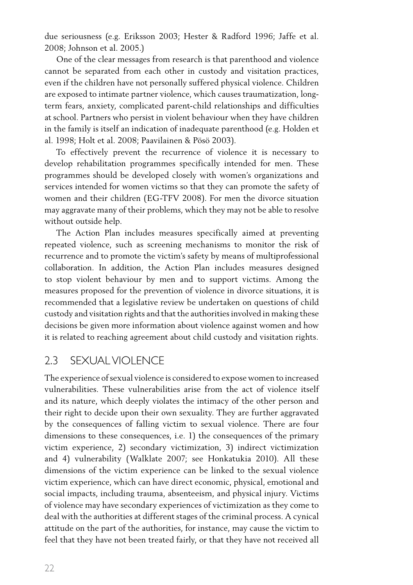due seriousness (e.g. Eriksson 2003; Hester & Radford 1996; Jaffe et al. 2008; Johnson et al. 2005.)

One of the clear messages from research is that parenthood and violence cannot be separated from each other in custody and visitation practices, even if the children have not personally suffered physical violence. Children are exposed to intimate partner violence, which causes traumatization, longterm fears, anxiety, complicated parent-child relationships and difficulties at school. Partners who persist in violent behaviour when they have children in the family is itself an indication of inadequate parenthood (e.g. Holden et al. 1998; Holt et al. 2008; Paavilainen & Pösö 2003).

To effectively prevent the recurrence of violence it is necessary to develop rehabilitation programmes specifically intended for men. These programmes should be developed closely with women's organizations and services intended for women victims so that they can promote the safety of women and their children (EG-TFV 2008). For men the divorce situation may aggravate many of their problems, which they may not be able to resolve without outside help.

The Action Plan includes measures specifically aimed at preventing repeated violence, such as screening mechanisms to monitor the risk of recurrence and to promote the victim's safety by means of multiprofessional collaboration. In addition, the Action Plan includes measures designed to stop violent behaviour by men and to support victims. Among the measures proposed for the prevention of violence in divorce situations, it is recommended that a legislative review be undertaken on questions of child custody and visitation rights and that the authorities involved in making these decisions be given more information about violence against women and how it is related to reaching agreement about child custody and visitation rights.

#### 2.3 SEXUALVIOLENCE

The experience ofsexual violence is considered to expose women to increased vulnerabilities. These vulnerabilities arise from the act of violence itself and its nature, which deeply violates the intimacy of the other person and their right to decide upon their own sexuality. They are further aggravated by the consequences of falling victim to sexual violence. There are four dimensions to these consequences, i.e. 1) the consequences of the primary victim experience, 2) secondary victimization, 3) indirect victimization and 4) vulnerability (Walklate 2007; see Honkatukia 2010). All these dimensions of the victim experience can be linked to the sexual violence victim experience, which can have direct economic, physical, emotional and social impacts, including trauma, absenteeism, and physical injury. Victims of violence may have secondary experiences of victimization as they come to deal with the authorities at different stages of the criminal process. A cynical attitude on the part of the authorities, for instance, may cause the victim to feel that they have not been treated fairly, or that they have not received all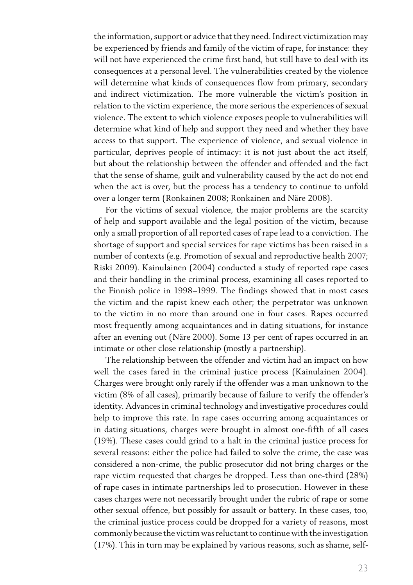the information, support or advice that they need. Indirect victimization may be experienced by friends and family of the victim of rape, for instance: they will not have experienced the crime first hand, but still have to deal with its consequences at a personal level. The vulnerabilities created by the violence will determine what kinds of consequences flow from primary, secondary and indirect victimization. The more vulnerable the victim's position in relation to the victim experience, the more serious the experiences of sexual violence. The extent to which violence exposes people to vulnerabilities will determine what kind of help and support they need and whether they have access to that support. The experience of violence, and sexual violence in particular, deprives people of intimacy: it is not just about the act itself, but about the relationship between the offender and offended and the fact that the sense of shame, guilt and vulnerability caused by the act do not end when the act is over, but the process has a tendency to continue to unfold over a longer term (Ronkainen 2008; Ronkainen and Näre 2008).

For the victims of sexual violence, the major problems are the scarcity of help and support available and the legal position of the victim, because only a small proportion of all reported cases of rape lead to a conviction. The shortage of support and special services for rape victims has been raised in a number of contexts (e.g. Promotion of sexual and reproductive health 2007; Riski 2009). Kainulainen (2004) conducted a study of reported rape cases and their handling in the criminal process, examining all cases reported to the Finnish police in 1998–1999. The findings showed that in most cases the victim and the rapist knew each other; the perpetrator was unknown to the victim in no more than around one in four cases. Rapes occurred most frequently among acquaintances and in dating situations, for instance after an evening out (Näre 2000). Some 13 per cent of rapes occurred in an intimate or other close relationship (mostly a partnership).

The relationship between the offender and victim had an impact on how well the cases fared in the criminal justice process (Kainulainen 2004). Charges were brought only rarely if the offender was a man unknown to the victim (8% of all cases), primarily because of failure to verify the offender's identity. Advances in criminal technology and investigative procedures could help to improve this rate. In rape cases occurring among acquaintances or in dating situations, charges were brought in almost one-fifth of all cases (19%). These cases could grind to a halt in the criminal justice process for several reasons: either the police had failed to solve the crime, the case was considered a non-crime, the public prosecutor did not bring charges or the rape victim requested that charges be dropped. Less than one-third (28%) of rape cases in intimate partnerships led to prosecution. However in these cases charges were not necessarily brought under the rubric of rape or some other sexual offence, but possibly for assault or battery. In these cases, too, the criminal justice process could be dropped for a variety of reasons, most commonly because the victim wasreluctantto continuewith the investigation (17%). This in turn may be explained by various reasons, such as shame, self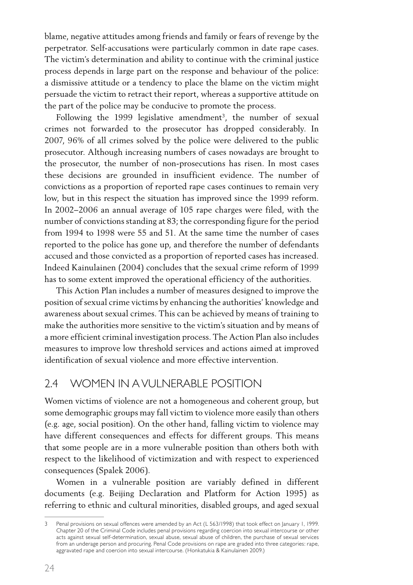blame, negative attitudes among friends and family or fears of revenge by the perpetrator. Self-accusations were particularly common in date rape cases. The victim's determination and ability to continue with the criminal justice process depends in large part on the response and behaviour of the police: a dismissive attitude or a tendency to place the blame on the victim might persuade the victim to retract their report, whereas a supportive attitude on the part of the police may be conducive to promote the process.

Following the 1999 legislative amendment<sup>3</sup>, the number of sexual crimes not forwarded to the prosecutor has dropped considerably. In 2007, 96% of all crimes solved by the police were delivered to the public prosecutor. Although increasing numbers of cases nowadays are brought to the prosecutor, the number of non-prosecutions has risen. In most cases these decisions are grounded in insufficient evidence. The number of convictions as a proportion of reported rape cases continues to remain very low, but in this respect the situation has improved since the 1999 reform. In 2002−2006 an annual average of 105 rape charges were filed, with the number of convictions standing at 83; the corresponding figure for the period from 1994 to 1998 were 55 and 51. At the same time the number of cases reported to the police has gone up, and therefore the number of defendants accused and those convicted as a proportion of reported cases has increased. Indeed Kainulainen (2004) concludes that the sexual crime reform of 1999 has to some extent improved the operational efficiency of the authorities.

This Action Plan includes a number of measures designed to improve the position of sexual crime victims by enhancing the authorities' knowledge and awareness about sexual crimes. This can be achieved by means of training to make the authorities more sensitive to the victim's situation and by means of a more efficient criminal investigation process. The Action Plan also includes measures to improve low threshold services and actions aimed at improved identification of sexual violence and more effective intervention.

#### 2.4 Women in avulnerable position

Women victims of violence are not a homogeneous and coherent group, but some demographic groups may fall victim to violence more easily than others (e.g. age, social position). On the other hand, falling victim to violence may have different consequences and effects for different groups. This means that some people are in a more vulnerable position than others both with respect to the likelihood of victimization and with respect to experienced consequences (Spalek 2006).

Women in a vulnerable position are variably defined in different documents (e.g. Beijing Declaration and Platform for Action 1995) as referring to ethnic and cultural minorities, disabled groups, and aged sexual

<sup>3</sup> Penal provisions on sexual offences were amended by an Act (L 563/1998) that took effect on January 1, 1999. Chapter 20 of the Criminal Code includes penal provisions regarding coercion into sexual intercourse or other acts against sexual self-determination, sexual abuse, sexual abuse of children, the purchase of sexual services from an underage person and procuring. Penal Code provisions on rape are graded into three categories: rape, aggravated rape and coercion into sexual intercourse. (Honkatukia & Kainulainen 2009.)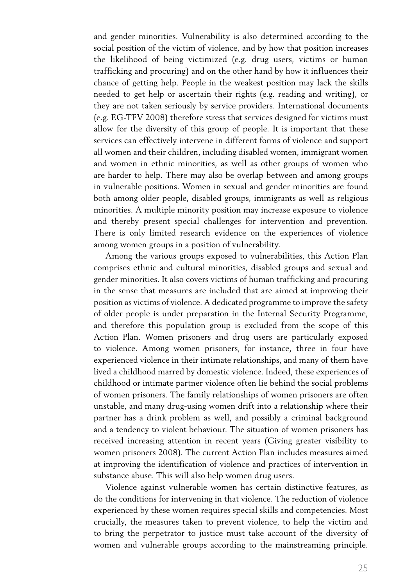and gender minorities. Vulnerability is also determined according to the social position of the victim of violence, and by how that position increases the likelihood of being victimized (e.g. drug users, victims or human trafficking and procuring) and on the other hand by how it influences their chance of getting help. People in the weakest position may lack the skills needed to get help or ascertain their rights (e.g. reading and writing), or they are not taken seriously by service providers. International documents (e.g. EG-TFV 2008) therefore stress that services designed for victims must allow for the diversity of this group of people. It is important that these services can effectively intervene in different forms of violence and support all women and their children, including disabled women, immigrant women and women in ethnic minorities, as well as other groups of women who are harder to help. There may also be overlap between and among groups in vulnerable positions. Women in sexual and gender minorities are found both among older people, disabled groups, immigrants as well as religious minorities. A multiple minority position may increase exposure to violence and thereby present special challenges for intervention and prevention. There is only limited research evidence on the experiences of violence among women groups in a position of vulnerability.

Among the various groups exposed to vulnerabilities, this Action Plan comprises ethnic and cultural minorities, disabled groups and sexual and gender minorities. It also covers victims of human trafficking and procuring in the sense that measures are included that are aimed at improving their position as victims of violence. A dedicated programme to improve the safety of older people is under preparation in the Internal Security Programme, and therefore this population group is excluded from the scope of this Action Plan. Women prisoners and drug users are particularly exposed to violence. Among women prisoners, for instance, three in four have experienced violence in their intimate relationships, and many of them have lived a childhood marred by domestic violence. Indeed, these experiences of childhood or intimate partner violence often lie behind the social problems of women prisoners. The family relationships of women prisoners are often unstable, and many drug-using women drift into a relationship where their partner has a drink problem as well, and possibly a criminal background and a tendency to violent behaviour. The situation of women prisoners has received increasing attention in recent years (Giving greater visibility to women prisoners 2008). The current Action Plan includes measures aimed at improving the identification of violence and practices of intervention in substance abuse. This will also help women drug users.

Violence against vulnerable women has certain distinctive features, as do the conditions for intervening in that violence. The reduction of violence experienced by these women requires special skills and competencies. Most crucially, the measures taken to prevent violence, to help the victim and to bring the perpetrator to justice must take account of the diversity of women and vulnerable groups according to the mainstreaming principle.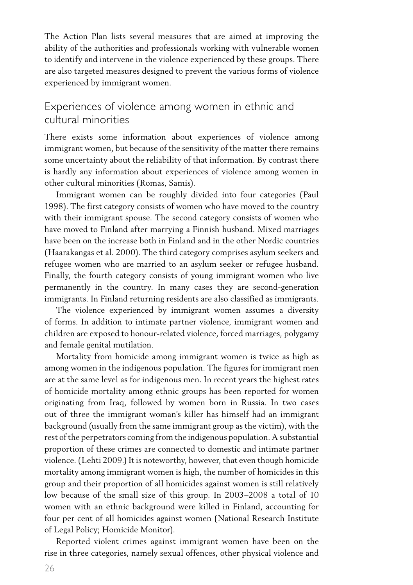The Action Plan lists several measures that are aimed at improving the ability of the authorities and professionals working with vulnerable women to identify and intervene in the violence experienced by these groups. There are also targeted measures designed to prevent the various forms of violence experienced by immigrant women.

#### Experiences of violence among women in ethnic and cultural minorities

There exists some information about experiences of violence among immigrant women, but because of the sensitivity of the matter there remains some uncertainty about the reliability of that information. By contrast there is hardly any information about experiences of violence among women in other cultural minorities (Romas, Samis).

Immigrant women can be roughly divided into four categories (Paul 1998). The first category consists of women who have moved to the country with their immigrant spouse. The second category consists of women who have moved to Finland after marrying a Finnish husband. Mixed marriages have been on the increase both in Finland and in the other Nordic countries (Haarakangas et al. 2000). The third category comprises asylum seekers and refugee women who are married to an asylum seeker or refugee husband. Finally, the fourth category consists of young immigrant women who live permanently in the country. In many cases they are second-generation immigrants. In Finland returning residents are also classified as immigrants.

The violence experienced by immigrant women assumes a diversity of forms. In addition to intimate partner violence, immigrant women and children are exposed to honour-related violence, forced marriages, polygamy and female genital mutilation.

Mortality from homicide among immigrant women is twice as high as among women in the indigenous population. The figures for immigrant men are at the same level as for indigenous men. In recent years the highest rates of homicide mortality among ethnic groups has been reported for women originating from Iraq, followed by women born in Russia. In two cases out of three the immigrant woman's killer has himself had an immigrant background (usually from the same immigrant group as the victim), with the rest of the perpetrators coming from the indigenous population. A substantial proportion of these crimes are connected to domestic and intimate partner violence. (Lehti 2009.) It is noteworthy, however, that even though homicide mortality among immigrant women is high, the number of homicides in this group and their proportion of all homicides against women is still relatively low because of the small size of this group. In 2003–2008 a total of 10 women with an ethnic background were killed in Finland, accounting for four per cent of all homicides against women (National Research Institute of Legal Policy; Homicide Monitor).

Reported violent crimes against immigrant women have been on the rise in three categories, namely sexual offences, other physical violence and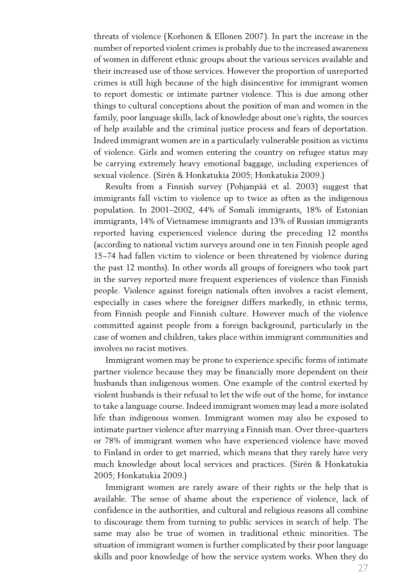threats of violence (Korhonen & Ellonen 2007). In part the increase in the number of reported violent crimes is probably due to the increased awareness of women in different ethnic groups about the various services available and their increased use of those services. However the proportion of unreported crimes is still high because of the high disincentive for immigrant women to report domestic or intimate partner violence. This is due among other things to cultural conceptions about the position of man and women in the family, poor language skills, lack of knowledge about one's rights, the sources of help available and the criminal justice process and fears of deportation. Indeed immigrant women are in a particularly vulnerable position as victims of violence. Girls and women entering the country on refugee status may be carrying extremely heavy emotional baggage, including experiences of sexual violence. (Sirén & Honkatukia 2005; Honkatukia 2009.)

Results from a Finnish survey (Pohjanpää et al. 2003) suggest that immigrants fall victim to violence up to twice as often as the indigenous population. In 2001–2002, 44% of Somali immigrants, 18% of Estonian immigrants, 14% of Vietnamese immigrants and 13% of Russian immigrants reported having experienced violence during the preceding 12 months (according to national victim surveys around one in ten Finnish people aged 15–74 had fallen victim to violence or been threatened by violence during the past 12 months). In other words all groups of foreigners who took part in the survey reported more frequent experiences of violence than Finnish people. Violence against foreign nationals often involves a racist element, especially in cases where the foreigner differs markedly, in ethnic terms, from Finnish people and Finnish culture. However much of the violence committed against people from a foreign background, particularly in the case of women and children, takes place within immigrant communities and involves no racist motives.

Immigrant women may be prone to experience specific forms of intimate partner violence because they may be financially more dependent on their husbands than indigenous women. One example of the control exerted by violent husbands is their refusal to let the wife out of the home, for instance to take a language course. Indeed immigrant women may lead a more isolated life than indigenous women. Immigrant women may also be exposed to intimate partner violence after marrying a Finnish man. Over three-quarters or 78% of immigrant women who have experienced violence have moved to Finland in order to get married, which means that they rarely have very much knowledge about local services and practices. (Sirén & Honkatukia 2005; Honkatukia 2009.)

Immigrant women are rarely aware of their rights or the help that is available. The sense of shame about the experience of violence, lack of confidence in the authorities, and cultural and religious reasons all combine to discourage them from turning to public services in search of help. The same may also be true of women in traditional ethnic minorities. The situation of immigrant women is further complicated by their poor language skills and poor knowledge of how the service system works. When they do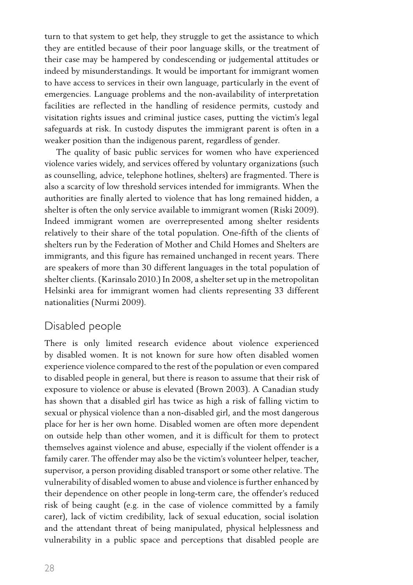turn to that system to get help, they struggle to get the assistance to which they are entitled because of their poor language skills, or the treatment of their case may be hampered by condescending or judgemental attitudes or indeed by misunderstandings. It would be important for immigrant women to have access to services in their own language, particularly in the event of emergencies. Language problems and the non-availability of interpretation facilities are reflected in the handling of residence permits, custody and visitation rights issues and criminal justice cases, putting the victim's legal safeguards at risk. In custody disputes the immigrant parent is often in a weaker position than the indigenous parent, regardless of gender.

The quality of basic public services for women who have experienced violence varies widely, and services offered by voluntary organizations (such as counselling, advice, telephone hotlines, shelters) are fragmented. There is also a scarcity of low threshold services intended for immigrants. When the authorities are finally alerted to violence that has long remained hidden, a shelter is often the only service available to immigrant women (Riski 2009). Indeed immigrant women are overrepresented among shelter residents relatively to their share of the total population. One-fifth of the clients of shelters run by the Federation of Mother and Child Homes and Shelters are immigrants, and this figure has remained unchanged in recent years. There are speakers of more than 30 different languages in the total population of shelter clients. (Karinsalo 2010.) In 2008, a shelter set up in the metropolitan Helsinki area for immigrant women had clients representing 33 different nationalities (Nurmi 2009).

#### Disabled people

There is only limited research evidence about violence experienced by disabled women. It is not known for sure how often disabled women experience violence compared to the rest of the population or even compared to disabled people in general, but there is reason to assume that their risk of exposure to violence or abuse is elevated (Brown 2003). A Canadian study has shown that a disabled girl has twice as high a risk of falling victim to sexual or physical violence than a non-disabled girl, and the most dangerous place for her is her own home. Disabled women are often more dependent on outside help than other women, and it is difficult for them to protect themselves against violence and abuse, especially if the violent offender is a family carer. The offender may also be the victim's volunteer helper, teacher, supervisor, a person providing disabled transport or some other relative. The vulnerability of disabled women to abuse and violence is further enhanced by their dependence on other people in long-term care, the offender's reduced risk of being caught (e.g. in the case of violence committed by a family carer), lack of victim credibility, lack of sexual education, social isolation and the attendant threat of being manipulated, physical helplessness and vulnerability in a public space and perceptions that disabled people are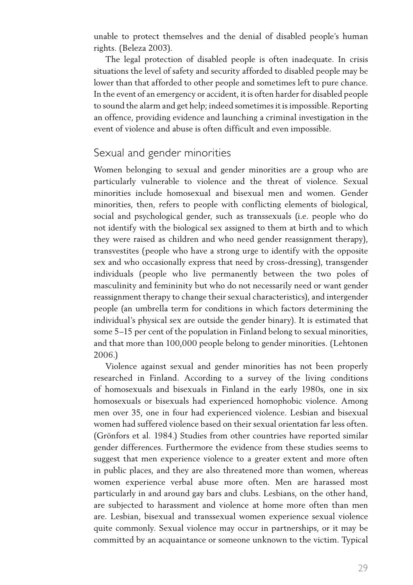unable to protect themselves and the denial of disabled people's human rights. (Beleza 2003).

The legal protection of disabled people is often inadequate. In crisis situations the level of safety and security afforded to disabled people may be lower than that afforded to other people and sometimes left to pure chance. In the event of an emergency or accident, it is often harder for disabled people to sound the alarm and get help; indeed sometimes it is impossible. Reporting an offence, providing evidence and launching a criminal investigation in the event of violence and abuse is often difficult and even impossible.

#### Sexual and gender minorities

Women belonging to sexual and gender minorities are a group who are particularly vulnerable to violence and the threat of violence. Sexual minorities include homosexual and bisexual men and women. Gender minorities, then, refers to people with conflicting elements of biological, social and psychological gender, such as transsexuals (i.e. people who do not identify with the biological sex assigned to them at birth and to which they were raised as children and who need gender reassignment therapy), transvestites (people who have a strong urge to identify with the opposite sex and who occasionally express that need by cross-dressing), transgender individuals (people who live permanently between the two poles of masculinity and femininity but who do not necessarily need or want gender reassignment therapy to change their sexual characteristics), and intergender people (an umbrella term for conditions in which factors determining the individual's physical sex are outside the gender binary). It is estimated that some 5–15 per cent of the population in Finland belong to sexual minorities, and that more than 100,000 people belong to gender minorities. (Lehtonen 2006.)

Violence against sexual and gender minorities has not been properly researched in Finland. According to a survey of the living conditions of homosexuals and bisexuals in Finland in the early 1980s, one in six homosexuals or bisexuals had experienced homophobic violence. Among men over 35, one in four had experienced violence. Lesbian and bisexual women had suffered violence based on their sexual orientation far less often. (Grönfors et al. 1984.) Studies from other countries have reported similar gender differences. Furthermore the evidence from these studies seems to suggest that men experience violence to a greater extent and more often in public places, and they are also threatened more than women, whereas women experience verbal abuse more often. Men are harassed most particularly in and around gay bars and clubs. Lesbians, on the other hand, are subjected to harassment and violence at home more often than men are. Lesbian, bisexual and transsexual women experience sexual violence quite commonly. Sexual violence may occur in partnerships, or it may be committed by an acquaintance or someone unknown to the victim. Typical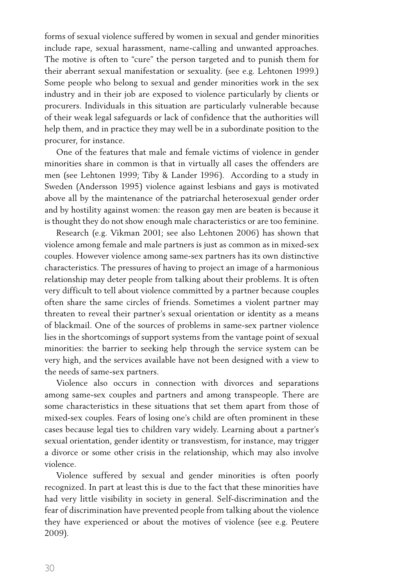forms of sexual violence suffered by women in sexual and gender minorities include rape, sexual harassment, name-calling and unwanted approaches. The motive is often to "cure" the person targeted and to punish them for their aberrant sexual manifestation or sexuality. (see e.g. Lehtonen 1999.) Some people who belong to sexual and gender minorities work in the sex industry and in their job are exposed to violence particularly by clients or procurers. Individuals in this situation are particularly vulnerable because of their weak legal safeguards or lack of confidence that the authorities will help them, and in practice they may well be in a subordinate position to the procurer, for instance.

One of the features that male and female victims of violence in gender minorities share in common is that in virtually all cases the offenders are men (see Lehtonen 1999; Tiby & Lander 1996). According to a study in Sweden (Andersson 1995) violence against lesbians and gays is motivated above all by the maintenance of the patriarchal heterosexual gender order and by hostility against women: the reason gay men are beaten is because it is thought they do not show enough male characteristics or are too feminine.

Research (e.g. Vikman 2001; see also Lehtonen 2006) has shown that violence among female and male partners is just as common as in mixed-sex couples. However violence among same-sex partners has its own distinctive characteristics. The pressures of having to project an image of a harmonious relationship may deter people from talking about their problems. It is often very difficult to tell about violence committed by a partner because couples often share the same circles of friends. Sometimes a violent partner may threaten to reveal their partner's sexual orientation or identity as a means of blackmail. One of the sources of problems in same-sex partner violence lies in the shortcomings of support systems from the vantage point of sexual minorities: the barrier to seeking help through the service system can be very high, and the services available have not been designed with a view to the needs of same-sex partners.

Violence also occurs in connection with divorces and separations among same-sex couples and partners and among transpeople. There are some characteristics in these situations that set them apart from those of mixed-sex couples. Fears of losing one's child are often prominent in these cases because legal ties to children vary widely. Learning about a partner's sexual orientation, gender identity or transvestism, for instance, may trigger a divorce or some other crisis in the relationship, which may also involve violence.

Violence suffered by sexual and gender minorities is often poorly recognized. In part at least this is due to the fact that these minorities have had very little visibility in society in general. Self-discrimination and the fear of discrimination have prevented people from talking about the violence they have experienced or about the motives of violence (see e.g. Peutere 2009).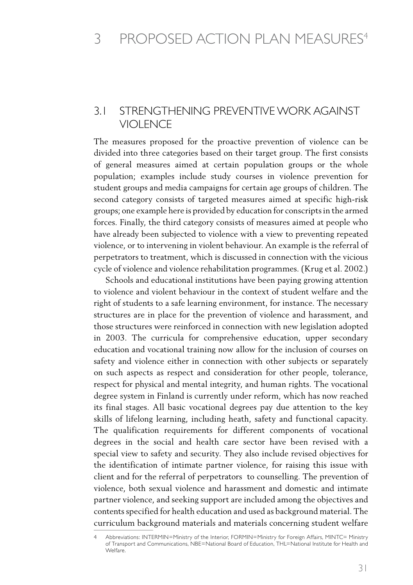#### 3.1 Strengthening preventive work against violence

The measures proposed for the proactive prevention of violence can be divided into three categories based on their target group. The first consists of general measures aimed at certain population groups or the whole population; examples include study courses in violence prevention for student groups and media campaigns for certain age groups of children. The second category consists of targeted measures aimed at specific high-risk groups; one example here is provided by education for conscriptsin the armed forces. Finally, the third category consists of measures aimed at people who have already been subjected to violence with a view to preventing repeated violence, or to intervening in violent behaviour. An example is the referral of perpetrators to treatment, which is discussed in connection with the vicious cycle of violence and violence rehabilitation programmes. (Krug et al. 2002.)

Schools and educational institutions have been paying growing attention to violence and violent behaviour in the context of student welfare and the right of students to a safe learning environment, for instance. The necessary structures are in place for the prevention of violence and harassment, and those structures were reinforced in connection with new legislation adopted in 2003. The curricula for comprehensive education, upper secondary education and vocational training now allow for the inclusion of courses on safety and violence either in connection with other subjects or separately on such aspects as respect and consideration for other people, tolerance, respect for physical and mental integrity, and human rights. The vocational degree system in Finland is currently under reform, which has now reached its final stages. All basic vocational degrees pay due attention to the key skills of lifelong learning, including heath, safety and functional capacity. The qualification requirements for different components of vocational degrees in the social and health care sector have been revised with a special view to safety and security. They also include revised objectives for the identification of intimate partner violence, for raising this issue with client and for the referral of perpetrators to counselling. The prevention of violence, both sexual violence and harassment and domestic and intimate partner violence, and seeking support are included among the objectives and contents specified for health education and used as background material. The curriculum background materials and materials concerning student welfare

<sup>4</sup> Abbreviations: INTERMIN=Ministry of the Interior, FORMIN=Ministry for Foreign Affairs, MINTC= Ministry of Transport and Communications, NBE=National Board of Education, THL=National Institute for Health and Welfare.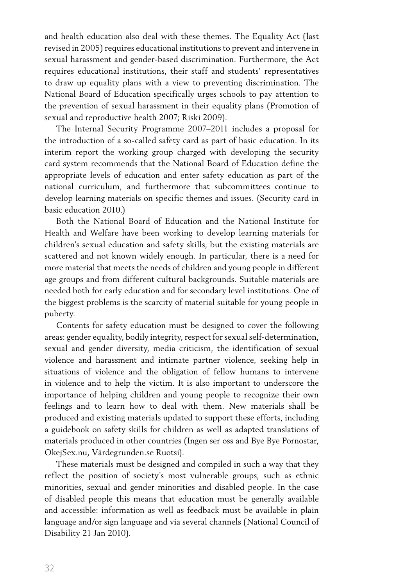and health education also deal with these themes. The Equality Act (last revised in 2005) requires educational institutions to prevent and intervene in sexual harassment and gender-based discrimination. Furthermore, the Act requires educational institutions, their staff and students' representatives to draw up equality plans with a view to preventing discrimination. The National Board of Education specifically urges schools to pay attention to the prevention of sexual harassment in their equality plans (Promotion of sexual and reproductive health 2007; Riski 2009).

The Internal Security Programme 2007–2011 includes a proposal for the introduction of a so-called safety card as part of basic education. In its interim report the working group charged with developing the security card system recommends that the National Board of Education define the appropriate levels of education and enter safety education as part of the national curriculum, and furthermore that subcommittees continue to develop learning materials on specific themes and issues. (Security card in basic education 2010.)

Both the National Board of Education and the National Institute for Health and Welfare have been working to develop learning materials for children's sexual education and safety skills, but the existing materials are scattered and not known widely enough. In particular, there is a need for more material that meets the needs of children and young people in different age groups and from different cultural backgrounds. Suitable materials are needed both for early education and for secondary level institutions. One of the biggest problems is the scarcity of material suitable for young people in puberty.

Contents for safety education must be designed to cover the following areas: gender equality, bodily integrity, respect for sexual self-determination, sexual and gender diversity, media criticism, the identification of sexual violence and harassment and intimate partner violence, seeking help in situations of violence and the obligation of fellow humans to intervene in violence and to help the victim. It is also important to underscore the importance of helping children and young people to recognize their own feelings and to learn how to deal with them. New materials shall be produced and existing materials updated to support these efforts, including a guidebook on safety skills for children as well as adapted translations of materials produced in other countries (Ingen ser oss and Bye Bye Pornostar, OkejSex.nu, Värdegrunden.se Ruotsi).

These materials must be designed and compiled in such a way that they reflect the position of society's most vulnerable groups, such as ethnic minorities, sexual and gender minorities and disabled people. In the case of disabled people this means that education must be generally available and accessible: information as well as feedback must be available in plain language and/or sign language and via several channels (National Council of Disability 21 Jan 2010).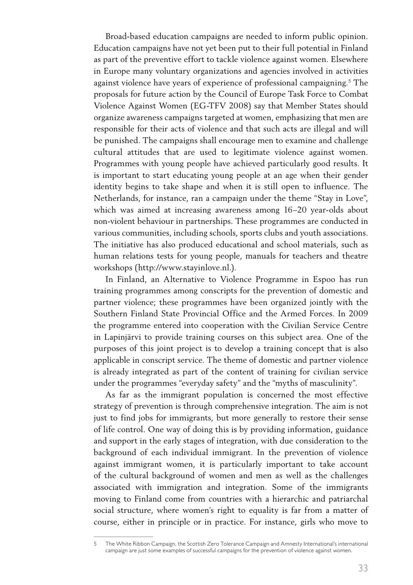Broad-based education campaigns are needed to inform public opinion. Education campaigns have not yet been put to their full potential in Finland as part of the preventive effort to tackle violence against women. Elsewhere in Europe many voluntary organizations and agencies involved in activities against violence have years of experience of professional campaigning.<sup>5</sup> The proposals for future action by the Council of Europe Task Force to Combat Violence Against Women (EG-TFV 2008) say that Member States should organize awareness campaigns targeted at women, emphasizing that men are responsible for their acts of violence and that such acts are illegal and will be punished. The campaigns shall encourage men to examine and challenge cultural attitudes that are used to legitimate violence against women. Programmes with young people have achieved particularly good results. It is important to start educating young people at an age when their gender identity begins to take shape and when it is still open to influence. The Netherlands, for instance, ran a campaign under the theme "Stay in Love", which was aimed at increasing awareness among 16–20 year-olds about non-violent behaviour in partnerships. These programmes are conducted in various communities, including schools, sports clubs and youth associations. The initiative has also produced educational and school materials, such as human relations tests for young people, manuals for teachers and theatre workshops (http://www.stayinlove.nl.).

In Finland, an Alternative to Violence Programme in Espoo has run training programmes among conscripts for the prevention of domestic and partner violence; these programmes have been organized jointly with the Southern Finland State Provincial Office and the Armed Forces. In 2009 the programme entered into cooperation with the Civilian Service Centre in Lapinjärvi to provide training courses on this subject area. One of the purposes of this joint project is to develop a training concept that is also applicable in conscript service. The theme of domestic and partner violence is already integrated as part of the content of training for civilian service under the programmes "everyday safety" and the "myths of masculinity".

As far as the immigrant population is concerned the most effective strategy of prevention is through comprehensive integration. The aim is not just to find jobs for immigrants, but more generally to restore their sense of life control. One way of doing this is by providing information, guidance and support in the early stages of integration, with due consideration to the background of each individual immigrant. In the prevention of violence against immigrant women, it is particularly important to take account of the cultural background of women and men as well as the challenges associated with immigration and integration. Some of the immigrants moving to Finland come from countries with a hierarchic and patriarchal social structure, where women's right to equality is far from a matter of course, either in principle or in practice. For instance, girls who move to

<sup>5</sup> The White Ribbon Campaign, the Scottish Zero Tolerance Campaign and Amnesty International's international campaign are just some examples of successful campaigns for the prevention of violence against women.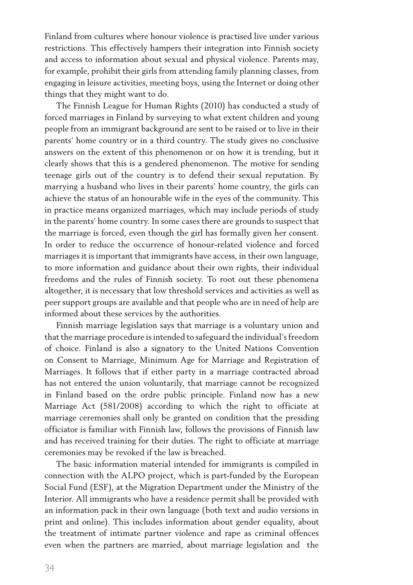Finland from cultures where honour violence is practised live under various restrictions. This effectively hampers their integration into Finnish society and access to information about sexual and physical violence. Parents may, for example, prohibit their girls from attending family planning classes, from engaging in leisure activities, meeting boys, using the Internet or doing other things that they might want to do.

The Finnish League for Human Rights (2010) has conducted a study of forced marriages in Finland by surveying to what extent children and young people from an immigrant background are sent to be raised or to live in their parents' home country or in a third country. The study gives no conclusive answers on the extent of this phenomenon or on how it is trending, but it clearly shows that this is a gendered phenomenon. The motive for sending teenage girls out of the country is to defend their sexual reputation. By marrying a husband who lives in their parents' home country, the girls can achieve the status of an honourable wife in the eyes of the community. This in practice means organized marriages, which may include periods of study in the parents' home country. In some cases there are grounds to suspect that the marriage is forced, even though the girl has formally given her consent. In order to reduce the occurrence of honour-related violence and forced marriages it is important that immigrants have access, in their own language, to more information and guidance about their own rights, their individual freedoms and the rules of Finnish society. To root out these phenomena altogether, it is necessary that low threshold services and activities as well as peer support groups are available and that people who are in need of help are informed about these services by the authorities.

Finnish marriage legislation says that marriage is a voluntary union and that the marriage procedure is intended to safeguard the individual's freedom of choice. Finland is also a signatory to the United Nations Convention on Consent to Marriage, Minimum Age for Marriage and Registration of Marriages. It follows that if either party in a marriage contracted abroad has not entered the union voluntarily, that marriage cannot be recognized in Finland based on the ordre public principle. Finland now has a new Marriage Act (581/2008) according to which the right to officiate at marriage ceremonies shall only be granted on condition that the presiding officiator is familiar with Finnish law, follows the provisions of Finnish law and has received training for their duties. The right to officiate at marriage ceremonies may be revoked if the law is breached.

The basic information material intended for immigrants is compiled in connection with the ALPO project, which is part-funded by the European Social Fund (ESF), at the Migration Department under the Ministry of the Interior. All immigrants who have a residence permit shall be provided with an information pack in their own language (both text and audio versions in print and online). This includes information about gender equality, about the treatment of intimate partner violence and rape as criminal offences even when the partners are married, about marriage legislation and the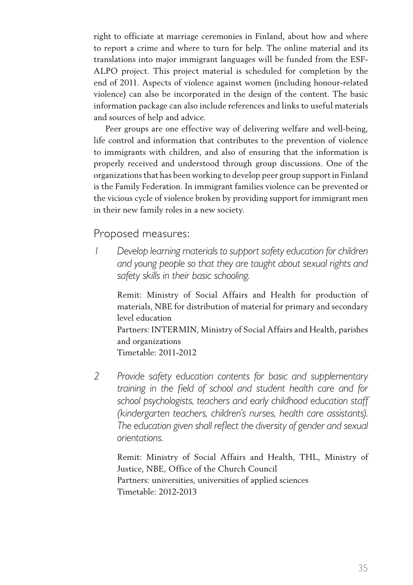right to officiate at marriage ceremonies in Finland, about how and where to report a crime and where to turn for help. The online material and its translations into major immigrant languages will be funded from the ESF-ALPO project. This project material is scheduled for completion by the end of 2011. Aspects of violence against women (including honour-related violence) can also be incorporated in the design of the content. The basic information package can also include references and links to useful materials and sources of help and advice.

Peer groups are one effective way of delivering welfare and well-being, life control and information that contributes to the prevention of violence to immigrants with children, and also of ensuring that the information is properly received and understood through group discussions. One of the organizations that has been working to develop peer group support in Finland is the Family Federation. In immigrant families violence can be prevented or the vicious cycle of violence broken by providing support for immigrant men in their new family roles in a new society.

#### Proposed measures:

*1 Develop learning materials to support safety education for children and young people so that they are taught about sexual rights and safety skills in their basic schooling.*

Remit: Ministry of Social Affairs and Health for production of materials, NBE for distribution of material for primary and secondary level education Partners: INTERMIN, Ministry of Social Affairs and Health, parishes and organizations Timetable: 2011-2012

*2 Provide safety education contents for basic and supplementary training in the field of school and student health care and for school psychologists, teachers and early childhood education staff (kindergarten teachers, children's nurses, health care assistants). The education given shall reflect the diversity of gender and sexual orientations.*

 Remit: Ministry of Social Affairs and Health, THL, Ministry of Justice, NBE, Office of the Church Council Partners: universities, universities of applied sciences Timetable: 2012-2013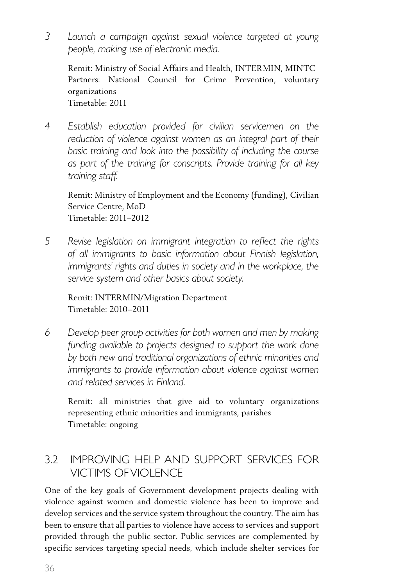*3 Launch a campaign against sexual violence targeted at young people, making use of electronic media.*

 Remit: Ministry of Social Affairs and Health, INTERMIN, MINTC Partners: National Council for Crime Prevention, voluntary organizations Timetable: 2011

*4 Establish education provided for civilian servicemen on the reduction of violence against women as an integral part of their basic training and look into the possibility of including the course as part of the training for conscripts. Provide training for all key training staff.*

 Remit: Ministry of Employment and the Economy (funding), Civilian Service Centre, MoD Timetable: 2011–2012

*5 Revise legislation on immigrant integration to reflect the rights of all immigrants to basic information about Finnish legislation, immigrants' rights and duties in society and in the workplace, the service system and other basics about society.*

 Remit: INTERMIN/Migration Department Timetable: 2010–2011

*6 Develop peer group activities for both women and men by making funding available to projects designed to support the work done by both new and traditional organizations of ethnic minorities and immigrants to provide information about violence against women and related services in Finland.*

 Remit: all ministries that give aid to voluntary organizations representing ethnic minorities and immigrants, parishes Timetable: ongoing

#### 3.2 Improving help and support services for victims ofviolence

One of the key goals of Government development projects dealing with violence against women and domestic violence has been to improve and develop services and the service system throughout the country. The aim has been to ensure that all parties to violence have access to services and support provided through the public sector. Public services are complemented by specific services targeting special needs, which include shelter services for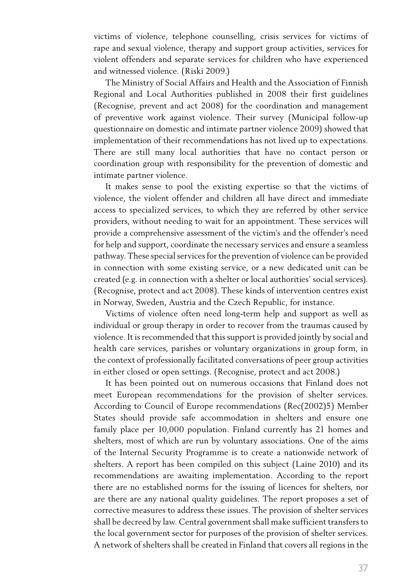victims of violence, telephone counselling, crisis services for victims of rape and sexual violence, therapy and support group activities, services for violent offenders and separate services for children who have experienced and witnessed violence. (Riski 2009.)

The Ministry of Social Affairs and Health and the Association of Finnish Regional and Local Authorities published in 2008 their first guidelines (Recognise, prevent and act 2008) for the coordination and management of preventive work against violence. Their survey (Municipal follow-up questionnaire on domestic and intimate partner violence 2009) showed that implementation of their recommendations has not lived up to expectations. There are still many local authorities that have no contact person or coordination group with responsibility for the prevention of domestic and intimate partner violence.

It makes sense to pool the existing expertise so that the victims of violence, the violent offender and children all have direct and immediate access to specialized services, to which they are referred by other service providers, without needing to wait for an appointment. These services will provide a comprehensive assessment of the victim's and the offender's need for help and support, coordinate the necessary services and ensure a seamless pathway. These special services forthe prevention of violence can be provided in connection with some existing service, or a new dedicated unit can be created (e.g. in connection with a shelter or local authorities' social services). (Recognise, protect and act 2008). These kinds of intervention centres exist in Norway, Sweden, Austria and the Czech Republic, for instance.

Victims of violence often need long-term help and support as well as individual or group therapy in order to recover from the traumas caused by violence. It is recommended that this support is provided jointly by social and health care services, parishes or voluntary organizations in group form, in the context of professionally facilitated conversations of peer group activities in either closed or open settings. (Recognise, protect and act 2008.)

It has been pointed out on numerous occasions that Finland does not meet European recommendations for the provision of shelter services. According to Council of Europe recommendations (Rec(2002)5) Member States should provide safe accommodation in shelters and ensure one family place per 10,000 population. Finland currently has 21 homes and shelters, most of which are run by voluntary associations. One of the aims of the Internal Security Programme is to create a nationwide network of shelters. A report has been compiled on this subject (Laine 2010) and its recommendations are awaiting implementation. According to the report there are no established norms for the issuing of licences for shelters, nor are there are any national quality guidelines. The report proposes a set of corrective measures to address these issues. The provision of shelter services shall be decreed by law. Central government shall make sufficient transfers to the local government sector for purposes of the provision of shelter services. A network of shelters shall be created in Finland that covers all regions in the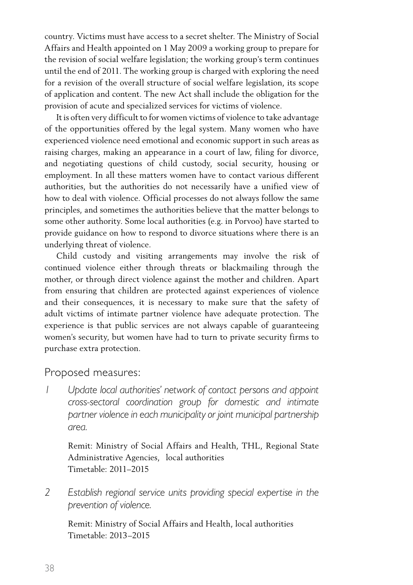country. Victims must have access to a secret shelter. The Ministry of Social Affairs and Health appointed on 1 May 2009 a working group to prepare for the revision of social welfare legislation; the working group's term continues until the end of 2011. The working group is charged with exploring the need for a revision of the overall structure of social welfare legislation, its scope of application and content. The new Act shall include the obligation for the provision of acute and specialized services for victims of violence.

It is often very difficult to for women victims of violence to take advantage of the opportunities offered by the legal system. Many women who have experienced violence need emotional and economic support in such areas as raising charges, making an appearance in a court of law, filing for divorce, and negotiating questions of child custody, social security, housing or employment. In all these matters women have to contact various different authorities, but the authorities do not necessarily have a unified view of how to deal with violence. Official processes do not always follow the same principles, and sometimes the authorities believe that the matter belongs to some other authority. Some local authorities (e.g. in Porvoo) have started to provide guidance on how to respond to divorce situations where there is an underlying threat of violence.

Child custody and visiting arrangements may involve the risk of continued violence either through threats or blackmailing through the mother, or through direct violence against the mother and children. Apart from ensuring that children are protected against experiences of violence and their consequences, it is necessary to make sure that the safety of adult victims of intimate partner violence have adequate protection. The experience is that public services are not always capable of guaranteeing women's security, but women have had to turn to private security firms to purchase extra protection.

#### Proposed measures:

*1 Update local authorities' network of contact persons and appoint cross-sectoral coordination group for domestic and intimate partner violence in each municipality or joint municipal partnership area.*

 Remit: Ministry of Social Affairs and Health, THL, Regional State Administrative Agencies, local authorities Timetable: 2011–2015

*2 Establish regional service units providing special expertise in the prevention of violence.*

 Remit: Ministry of Social Affairs and Health, local authorities Timetable: 2013–2015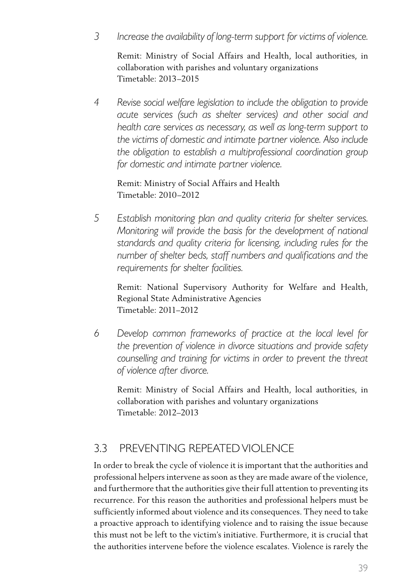*3 Increase the availability of long-term support for victims of violence.*

 Remit: Ministry of Social Affairs and Health, local authorities, in collaboration with parishes and voluntary organizations Timetable: 2013–2015

*4 Revise social welfare legislation to include the obligation to provide acute services (such as shelter services) and other social and health care services as necessary, as well as long-term support to the victims of domestic and intimate partner violence. Also include the obligation to establish a multiprofessional coordination group for domestic and intimate partner violence.* 

#### Remit: Ministry of Social Affairs and Health Timetable: 2010–2012

*5 Establish monitoring plan and quality criteria for shelter services. Monitoring will provide the basis for the development of national standards and quality criteria for licensing, including rules for the number of shelter beds, staff numbers and qualifications and the requirements for shelter facilities.*

 Remit: National Supervisory Authority for Welfare and Health, Regional State Administrative Agencies Timetable: 2011–2012

*6 Develop common frameworks of practice at the local level for the prevention of violence in divorce situations and provide safety counselling and training for victims in order to prevent the threat of violence after divorce.*

 Remit: Ministry of Social Affairs and Health, local authorities, in collaboration with parishes and voluntary organizations Timetable: 2012–2013

### 3.3 Preventing repeatedviolence

In order to break the cycle of violence it is important that the authorities and professional helpers intervene as soon as they are made aware of the violence, and furthermore that the authorities give their full attention to preventing its recurrence. For this reason the authorities and professional helpers must be sufficiently informed about violence and its consequences. They need to take a proactive approach to identifying violence and to raising the issue because this must not be left to the victim's initiative. Furthermore, it is crucial that the authorities intervene before the violence escalates. Violence is rarely the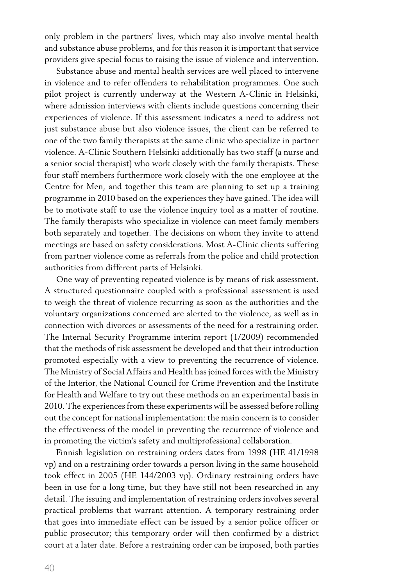only problem in the partners' lives, which may also involve mental health and substance abuse problems, and for this reason it is important that service providers give special focus to raising the issue of violence and intervention.

Substance abuse and mental health services are well placed to intervene in violence and to refer offenders to rehabilitation programmes. One such pilot project is currently underway at the Western A-Clinic in Helsinki, where admission interviews with clients include questions concerning their experiences of violence. If this assessment indicates a need to address not just substance abuse but also violence issues, the client can be referred to one of the two family therapists at the same clinic who specialize in partner violence. A-Clinic Southern Helsinki additionally has two staff (a nurse and a senior social therapist) who work closely with the family therapists. These four staff members furthermore work closely with the one employee at the Centre for Men, and together this team are planning to set up a training programme in 2010 based on the experiences they have gained. The idea will be to motivate staff to use the violence inquiry tool as a matter of routine. The family therapists who specialize in violence can meet family members both separately and together. The decisions on whom they invite to attend meetings are based on safety considerations. Most A-Clinic clients suffering from partner violence come as referrals from the police and child protection authorities from different parts of Helsinki.

One way of preventing repeated violence is by means of risk assessment. A structured questionnaire coupled with a professional assessment is used to weigh the threat of violence recurring as soon as the authorities and the voluntary organizations concerned are alerted to the violence, as well as in connection with divorces or assessments of the need for a restraining order. The Internal Security Programme interim report (1/2009) recommended that the methods of risk assessment be developed and that their introduction promoted especially with a view to preventing the recurrence of violence. The Ministry of Social Affairs and Health has joined forces with the Ministry of the Interior, the National Council for Crime Prevention and the Institute for Health and Welfare to try out these methods on an experimental basis in 2010. The experiences from these experiments will be assessed before rolling out the concept for national implementation: the main concern is to consider the effectiveness of the model in preventing the recurrence of violence and in promoting the victim's safety and multiprofessional collaboration.

Finnish legislation on restraining orders dates from 1998 (HE 41/1998 vp) and on a restraining order towards a person living in the same household took effect in 2005 (HE 144/2003 vp). Ordinary restraining orders have been in use for a long time, but they have still not been researched in any detail. The issuing and implementation of restraining orders involves several practical problems that warrant attention. A temporary restraining order that goes into immediate effect can be issued by a senior police officer or public prosecutor; this temporary order will then confirmed by a district court at a later date. Before a restraining order can be imposed, both parties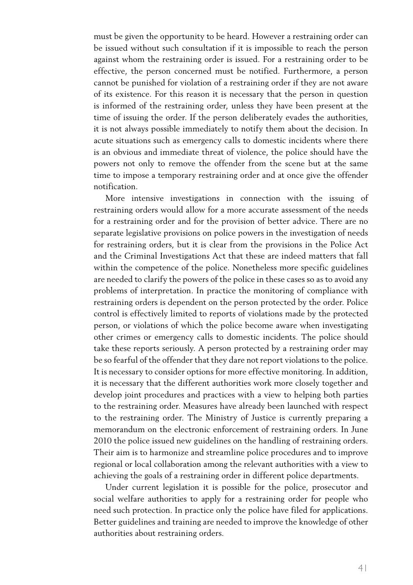must be given the opportunity to be heard. However a restraining order can be issued without such consultation if it is impossible to reach the person against whom the restraining order is issued. For a restraining order to be effective, the person concerned must be notified. Furthermore, a person cannot be punished for violation of a restraining order if they are not aware of its existence. For this reason it is necessary that the person in question is informed of the restraining order, unless they have been present at the time of issuing the order. If the person deliberately evades the authorities, it is not always possible immediately to notify them about the decision. In acute situations such as emergency calls to domestic incidents where there is an obvious and immediate threat of violence, the police should have the powers not only to remove the offender from the scene but at the same time to impose a temporary restraining order and at once give the offender notification.

More intensive investigations in connection with the issuing of restraining orders would allow for a more accurate assessment of the needs for a restraining order and for the provision of better advice. There are no separate legislative provisions on police powers in the investigation of needs for restraining orders, but it is clear from the provisions in the Police Act and the Criminal Investigations Act that these are indeed matters that fall within the competence of the police. Nonetheless more specific guidelines are needed to clarify the powers of the police in these cases so as to avoid any problems of interpretation. In practice the monitoring of compliance with restraining orders is dependent on the person protected by the order. Police control is effectively limited to reports of violations made by the protected person, or violations of which the police become aware when investigating other crimes or emergency calls to domestic incidents. The police should take these reports seriously. A person protected by a restraining order may be so fearful of the offender that they dare not report violations to the police. It is necessary to consider options for more effective monitoring. In addition, it is necessary that the different authorities work more closely together and develop joint procedures and practices with a view to helping both parties to the restraining order. Measures have already been launched with respect to the restraining order. The Ministry of Justice is currently preparing a memorandum on the electronic enforcement of restraining orders. In June 2010 the police issued new guidelines on the handling of restraining orders. Their aim is to harmonize and streamline police procedures and to improve regional or local collaboration among the relevant authorities with a view to achieving the goals of a restraining order in different police departments.

Under current legislation it is possible for the police, prosecutor and social welfare authorities to apply for a restraining order for people who need such protection. In practice only the police have filed for applications. Better guidelines and training are needed to improve the knowledge of other authorities about restraining orders.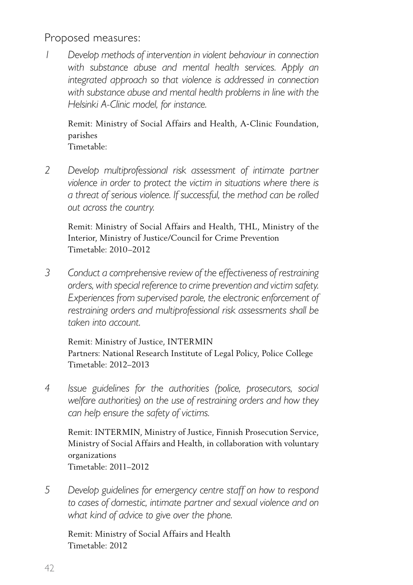Proposed measures:

*1 Develop methods of intervention in violent behaviour in connection with substance abuse and mental health services. Apply an integrated approach so that violence is addressed in connection with substance abuse and mental health problems in line with the Helsinki A-Clinic model, for instance.*

 Remit: Ministry of Social Affairs and Health, A-Clinic Foundation, parishes

- Timetable:
- *2 Develop multiprofessional risk assessment of intimate partner violence in order to protect the victim in situations where there is a threat of serious violence. If successful, the method can be rolled out across the country.*

 Remit: Ministry of Social Affairs and Health, THL, Ministry of the Interior, Ministry of Justice/Council for Crime Prevention Timetable: 2010–2012

*3 Conduct a comprehensive review of the effectiveness of restraining orders, with special reference to crime prevention and victim safety. Experiences from supervised parole, the electronic enforcement of restraining orders and multiprofessional risk assessments shall be taken into account.*

 Remit: Ministry of Justice, INTERMIN Partners: National Research Institute of Legal Policy, Police College Timetable: 2012–2013

*4 Issue guidelines for the authorities (police, prosecutors, social welfare authorities) on the use of restraining orders and how they can help ensure the safety of victims.*

 Remit: INTERMIN, Ministry of Justice, Finnish Prosecution Service, Ministry of Social Affairs and Health, in collaboration with voluntary organizations Timetable: 2011–2012

*5 Develop guidelines for emergency centre staff on how to respond to cases of domestic, intimate partner and sexual violence and on what kind of advice to give over the phone.*

 Remit: Ministry of Social Affairs and Health Timetable: 2012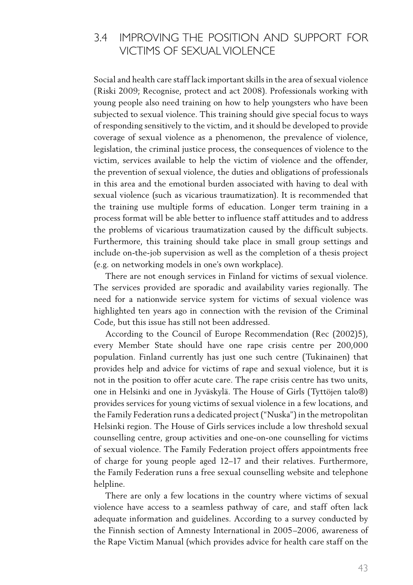#### 3.4 Improving the position and support for victims of sexualviolence

Social and health care staff lack important skills in the area of sexual violence (Riski 2009; Recognise, protect and act 2008). Professionals working with young people also need training on how to help youngsters who have been subjected to sexual violence. This training should give special focus to ways of responding sensitively to the victim, and it should be developed to provide coverage of sexual violence as a phenomenon, the prevalence of violence, legislation, the criminal justice process, the consequences of violence to the victim, services available to help the victim of violence and the offender, the prevention of sexual violence, the duties and obligations of professionals in this area and the emotional burden associated with having to deal with sexual violence (such as vicarious traumatization). It is recommended that the training use multiple forms of education. Longer term training in a process format will be able better to influence staff attitudes and to address the problems of vicarious traumatization caused by the difficult subjects. Furthermore, this training should take place in small group settings and include on-the-job supervision as well as the completion of a thesis project (e.g. on networking models in one's own workplace).

There are not enough services in Finland for victims of sexual violence. The services provided are sporadic and availability varies regionally. The need for a nationwide service system for victims of sexual violence was highlighted ten years ago in connection with the revision of the Criminal Code, but this issue has still not been addressed.

According to the Council of Europe Recommendation (Rec (2002)5), every Member State should have one rape crisis centre per 200,000 population. Finland currently has just one such centre (Tukinainen) that provides help and advice for victims of rape and sexual violence, but it is not in the position to offer acute care. The rape crisis centre has two units, one in Helsinki and one in Jyväskylä. The House of Girls (Tyttöjen talo®) provides services for young victims of sexual violence in a few locations, and the Family Federation runs a dedicated project ("Nuska") in the metropolitan Helsinki region. The House of Girls services include a low threshold sexual counselling centre, group activities and one-on-one counselling for victims of sexual violence. The Family Federation project offers appointments free of charge for young people aged 12–17 and their relatives. Furthermore, the Family Federation runs a free sexual counselling website and telephone helpline.

There are only a few locations in the country where victims of sexual violence have access to a seamless pathway of care, and staff often lack adequate information and guidelines. According to a survey conducted by the Finnish section of Amnesty International in 2005–2006, awareness of the Rape Victim Manual (which provides advice for health care staff on the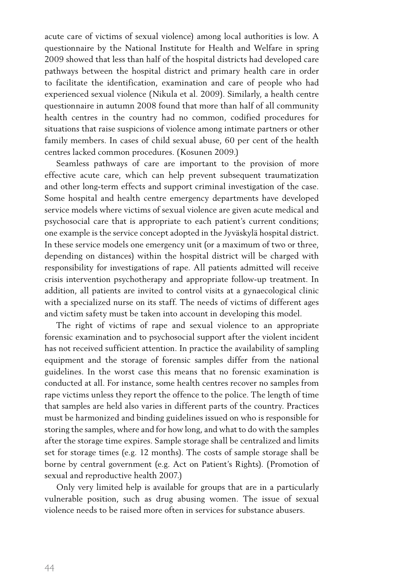acute care of victims of sexual violence) among local authorities is low. A questionnaire by the National Institute for Health and Welfare in spring 2009 showed that less than half of the hospital districts had developed care pathways between the hospital district and primary health care in order to facilitate the identification, examination and care of people who had experienced sexual violence (Nikula et al. 2009). Similarly, a health centre questionnaire in autumn 2008 found that more than half of all community health centres in the country had no common, codified procedures for situations that raise suspicions of violence among intimate partners or other family members. In cases of child sexual abuse, 60 per cent of the health centres lacked common procedures. (Kosunen 2009.)

Seamless pathways of care are important to the provision of more effective acute care, which can help prevent subsequent traumatization and other long-term effects and support criminal investigation of the case. Some hospital and health centre emergency departments have developed service models where victims of sexual violence are given acute medical and psychosocial care that is appropriate to each patient's current conditions; one example is the service concept adopted in the Jyväskylä hospital district. In these service models one emergency unit (or a maximum of two or three, depending on distances) within the hospital district will be charged with responsibility for investigations of rape. All patients admitted will receive crisis intervention psychotherapy and appropriate follow-up treatment. In addition, all patients are invited to control visits at a gynaecological clinic with a specialized nurse on its staff. The needs of victims of different ages and victim safety must be taken into account in developing this model.

The right of victims of rape and sexual violence to an appropriate forensic examination and to psychosocial support after the violent incident has not received sufficient attention. In practice the availability of sampling equipment and the storage of forensic samples differ from the national guidelines. In the worst case this means that no forensic examination is conducted at all. For instance, some health centres recover no samples from rape victims unless they report the offence to the police. The length of time that samples are held also varies in different parts of the country. Practices must be harmonized and binding guidelines issued on who is responsible for storing the samples, where and for how long, and what to do with the samples after the storage time expires. Sample storage shall be centralized and limits set for storage times (e.g. 12 months). The costs of sample storage shall be borne by central government (e.g. Act on Patient's Rights). (Promotion of sexual and reproductive health 2007.)

Only very limited help is available for groups that are in a particularly vulnerable position, such as drug abusing women. The issue of sexual violence needs to be raised more often in services for substance abusers.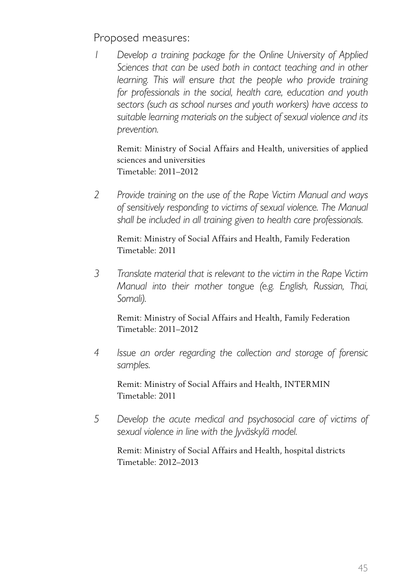Proposed measures:

*1 Develop a training package for the Online University of Applied Sciences that can be used both in contact teaching and in other learning. This will ensure that the people who provide training for professionals in the social, health care, education and youth sectors (such as school nurses and youth workers) have access to suitable learning materials on the subject of sexual violence and its prevention.*

 Remit: Ministry of Social Affairs and Health, universities of applied sciences and universities Timetable: 2011–2012

*2 Provide training on the use of the Rape Victim Manual and ways of sensitively responding to victims of sexual violence. The Manual shall be included in all training given to health care professionals.*

 Remit: Ministry of Social Affairs and Health, Family Federation Timetable: 2011

*3 Translate material that is relevant to the victim in the Rape Victim Manual into their mother tongue (e.g. English, Russian, Thai, Somali).*

 Remit: Ministry of Social Affairs and Health, Family Federation Timetable: 2011–2012

*4 Issue an order regarding the collection and storage of forensic samples.*

 Remit: Ministry of Social Affairs and Health, INTERMIN Timetable: 2011

*5 Develop the acute medical and psychosocial care of victims of sexual violence in line with the Jyväskylä model.*

 Remit: Ministry of Social Affairs and Health, hospital districts Timetable: 2012–2013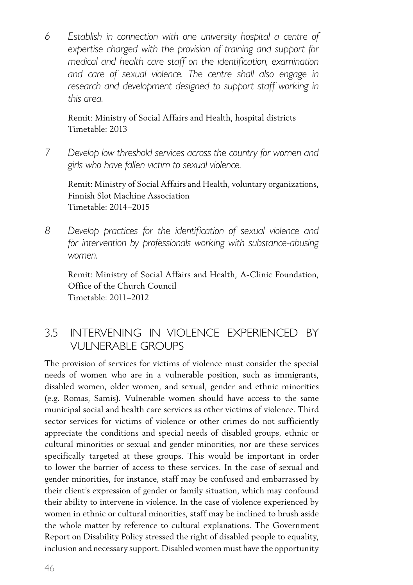*6 Establish in connection with one university hospital a centre of expertise charged with the provision of training and support for medical and health care staff on the identification, examination and care of sexual violence. The centre shall also engage in research and development designed to support staff working in this area.*

 Remit: Ministry of Social Affairs and Health, hospital districts Timetable: 2013

*7 Develop low threshold services across the country for women and girls who have fallen victim to sexual violence.*

Remit: Ministry of Social Affairs and Health, voluntary organizations, Finnish Slot Machine Association Timetable: 2014–2015

*8 Develop practices for the identification of sexual violence and for intervention by professionals working with substance-abusing women.*

Remit: Ministry of Social Affairs and Health, A-Clinic Foundation, Office of the Church Council Timetable: 2011–2012

#### 3.5 Intervening in violence experienced by vulnerable groups

The provision of services for victims of violence must consider the special needs of women who are in a vulnerable position, such as immigrants, disabled women, older women, and sexual, gender and ethnic minorities (e.g. Romas, Samis). Vulnerable women should have access to the same municipal social and health care services as other victims of violence. Third sector services for victims of violence or other crimes do not sufficiently appreciate the conditions and special needs of disabled groups, ethnic or cultural minorities or sexual and gender minorities, nor are these services specifically targeted at these groups. This would be important in order to lower the barrier of access to these services. In the case of sexual and gender minorities, for instance, staff may be confused and embarrassed by their client's expression of gender or family situation, which may confound their ability to intervene in violence. In the case of violence experienced by women in ethnic or cultural minorities, staff may be inclined to brush aside the whole matter by reference to cultural explanations. The Government Report on Disability Policy stressed the right of disabled people to equality, inclusion and necessary support. Disabled women must have the opportunity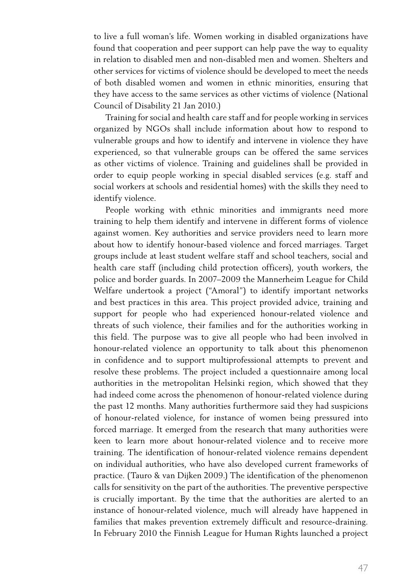to live a full woman's life. Women working in disabled organizations have found that cooperation and peer support can help pave the way to equality in relation to disabled men and non-disabled men and women. Shelters and other services for victims of violence should be developed to meet the needs of both disabled women and women in ethnic minorities, ensuring that they have access to the same services as other victims of violence (National Council of Disability 21 Jan 2010.)

Training for social and health care staff and for people working in services organized by NGOs shall include information about how to respond to vulnerable groups and how to identify and intervene in violence they have experienced, so that vulnerable groups can be offered the same services as other victims of violence. Training and guidelines shall be provided in order to equip people working in special disabled services (e.g. staff and social workers at schools and residential homes) with the skills they need to identify violence.

People working with ethnic minorities and immigrants need more training to help them identify and intervene in different forms of violence against women. Key authorities and service providers need to learn more about how to identify honour-based violence and forced marriages. Target groups include at least student welfare staff and school teachers, social and health care staff (including child protection officers), youth workers, the police and border guards. In 2007–2009 the Mannerheim League for Child Welfare undertook a project ("Amoral") to identify important networks and best practices in this area. This project provided advice, training and support for people who had experienced honour-related violence and threats of such violence, their families and for the authorities working in this field. The purpose was to give all people who had been involved in honour-related violence an opportunity to talk about this phenomenon in confidence and to support multiprofessional attempts to prevent and resolve these problems. The project included a questionnaire among local authorities in the metropolitan Helsinki region, which showed that they had indeed come across the phenomenon of honour-related violence during the past 12 months. Many authorities furthermore said they had suspicions of honour-related violence, for instance of women being pressured into forced marriage. It emerged from the research that many authorities were keen to learn more about honour-related violence and to receive more training. The identification of honour-related violence remains dependent on individual authorities, who have also developed current frameworks of practice. (Tauro & van Dijken 2009.) The identification of the phenomenon calls for sensitivity on the part of the authorities. The preventive perspective is crucially important. By the time that the authorities are alerted to an instance of honour-related violence, much will already have happened in families that makes prevention extremely difficult and resource-draining. In February 2010 the Finnish League for Human Rights launched a project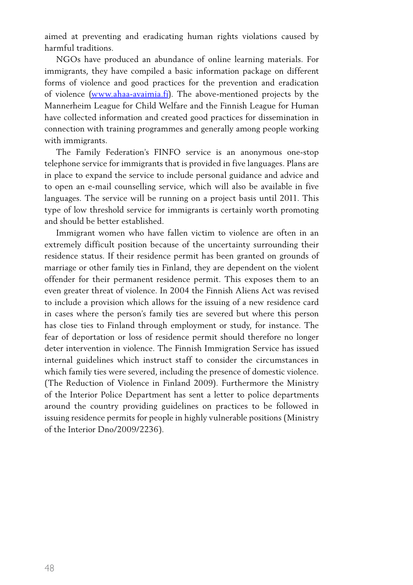aimed at preventing and eradicating human rights violations caused by harmful traditions.

NGOs have produced an abundance of online learning materials. For immigrants, they have compiled a basic information package on different forms of violence and good practices for the prevention and eradication of violence (www.ahaa-avaimia.fi). The above-mentioned projects by the Mannerheim League for Child Welfare and the Finnish League for Human have collected information and created good practices for dissemination in connection with training programmes and generally among people working with immigrants.

The Family Federation's FINFO service is an anonymous one-stop telephone service for immigrants that is provided in five languages. Plans are in place to expand the service to include personal guidance and advice and to open an e-mail counselling service, which will also be available in five languages. The service will be running on a project basis until 2011. This type of low threshold service for immigrants is certainly worth promoting and should be better established.

Immigrant women who have fallen victim to violence are often in an extremely difficult position because of the uncertainty surrounding their residence status. If their residence permit has been granted on grounds of marriage or other family ties in Finland, they are dependent on the violent offender for their permanent residence permit. This exposes them to an even greater threat of violence. In 2004 the Finnish Aliens Act was revised to include a provision which allows for the issuing of a new residence card in cases where the person's family ties are severed but where this person has close ties to Finland through employment or study, for instance. The fear of deportation or loss of residence permit should therefore no longer deter intervention in violence. The Finnish Immigration Service has issued internal guidelines which instruct staff to consider the circumstances in which family ties were severed, including the presence of domestic violence. (The Reduction of Violence in Finland 2009). Furthermore the Ministry of the Interior Police Department has sent a letter to police departments around the country providing guidelines on practices to be followed in issuing residence permits for people in highly vulnerable positions (Ministry of the Interior Dno/2009/2236).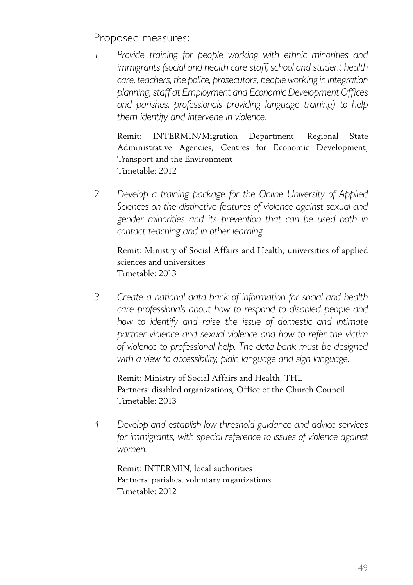Proposed measures:

*1 Provide training for people working with ethnic minorities and immigrants (social and health care staff, school and student health care, teachers, the police, prosecutors, peopleworking in integration planning, staff at Employment and Economic Development Offices and parishes, professionals providing language training) to help them identify and intervene in violence.*

Remit: INTERMIN/Migration Department, Regional State Administrative Agencies, Centres for Economic Development, Transport and the Environment Timetable: 2012

*2 Develop a training package for the Online University of Applied Sciences on the distinctive features of violence against sexual and gender minorities and its prevention that can be used both in contact teaching and in other learning.*

 Remit: Ministry of Social Affairs and Health, universities of applied sciences and universities Timetable: 2013

*3 Create a national data bank of information for social and health care professionals about how to respond to disabled people and how to identify and raise the issue of domestic and intimate partner violence and sexual violence and how to refer the victim of violence to professional help. The data bank must be designed with a view to accessibility, plain language and sign language.*

 Remit: Ministry of Social Affairs and Health, THL Partners: disabled organizations, Office of the Church Council Timetable: 2013

*4 Develop and establish low threshold guidance and advice services for immigrants, with special reference to issues of violence against women.*

 Remit: INTERMIN, local authorities Partners: parishes, voluntary organizations Timetable: 2012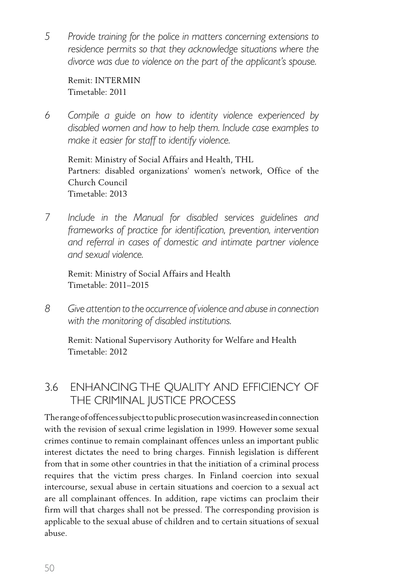*5 Provide training for the police in matters concerning extensions to residence permits so that they acknowledge situations where the divorce was due to violence on the part of the applicant's spouse.*

Remit: INTERMIN Timetable: 2011

*6 Compile a guide on how to identity violence experienced by disabled women and how to help them. Include case examples to make it easier for staff to identify violence.*

 Remit: Ministry of Social Affairs and Health, THL Partners: disabled organizations' women's network, Office of the Church Council Timetable: 2013

*7 Include in the Manual for disabled services guidelines and frameworks of practice for identification, prevention, intervention and referral in cases of domestic and intimate partner violence and sexual violence.*

 Remit: Ministry of Social Affairs and Health Timetable: 2011–2015

*8 Give attention to the occurrence ofviolence and abuse in connection with the monitoring of disabled institutions.*

 Remit: National Supervisory Authority for Welfare and Health Timetable: 2012

#### 3.6 Enhancing the quality and efficiency of the criminal justice process

The range of offences subject to public prosecution was increased in connection with the revision of sexual crime legislation in 1999. However some sexual crimes continue to remain complainant offences unless an important public interest dictates the need to bring charges. Finnish legislation is different from that in some other countries in that the initiation of a criminal process requires that the victim press charges. In Finland coercion into sexual intercourse, sexual abuse in certain situations and coercion to a sexual act are all complainant offences. In addition, rape victims can proclaim their firm will that charges shall not be pressed. The corresponding provision is applicable to the sexual abuse of children and to certain situations of sexual abuse.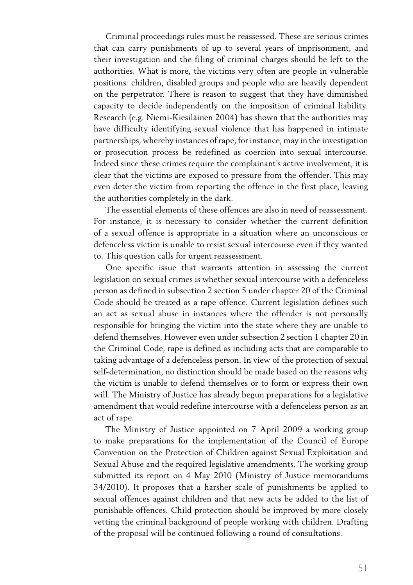Criminal proceedings rules must be reassessed. These are serious crimes that can carry punishments of up to several years of imprisonment, and their investigation and the filing of criminal charges should be left to the authorities. What is more, the victims very often are people in vulnerable positions: children, disabled groups and people who are heavily dependent on the perpetrator. There is reason to suggest that they have diminished capacity to decide independently on the imposition of criminal liability. Research (e.g. Niemi-Kiesiläinen 2004) has shown that the authorities may have difficulty identifying sexual violence that has happened in intimate partnerships, whereby instances of rape, for instance, may in the investigation or prosecution process be redefined as coercion into sexual intercourse. Indeed since these crimes require the complainant's active involvement, it is clear that the victims are exposed to pressure from the offender. This may even deter the victim from reporting the offence in the first place, leaving the authorities completely in the dark.

The essential elements of these offences are also in need of reassessment. For instance, it is necessary to consider whether the current definition of a sexual offence is appropriate in a situation where an unconscious or defenceless victim is unable to resist sexual intercourse even if they wanted to. This question calls for urgent reassessment.

One specific issue that warrants attention in assessing the current legislation on sexual crimes is whether sexual intercourse with a defenceless person as defined in subsection 2 section 5 under chapter 20 of the Criminal Code should be treated as a rape offence. Current legislation defines such an act as sexual abuse in instances where the offender is not personally responsible for bringing the victim into the state where they are unable to defend themselves. However even under subsection 2 section 1 chapter 20 in the Criminal Code, rape is defined as including acts that are comparable to taking advantage of a defenceless person. In view of the protection of sexual self-determination, no distinction should be made based on the reasons why the victim is unable to defend themselves or to form or express their own will. The Ministry of Justice has already begun preparations for a legislative amendment that would redefine intercourse with a defenceless person as an act of rape.

The Ministry of Justice appointed on 7 April 2009 a working group to make preparations for the implementation of the Council of Europe Convention on the Protection of Children against Sexual Exploitation and Sexual Abuse and the required legislative amendments. The working group submitted its report on 4 May 2010 (Ministry of Justice memorandums 34/2010). It proposes that a harsher scale of punishments be applied to sexual offences against children and that new acts be added to the list of punishable offences. Child protection should be improved by more closely vetting the criminal background of people working with children. Drafting of the proposal will be continued following a round of consultations.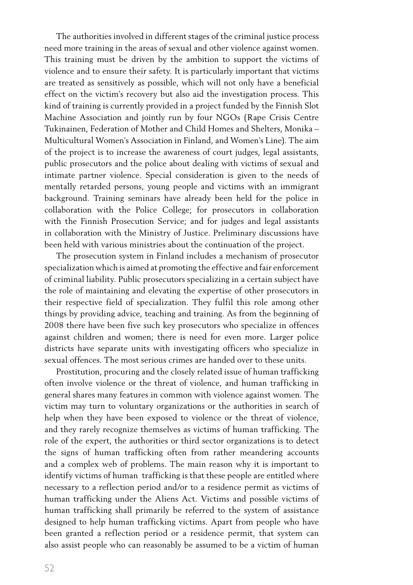The authorities involved in different stages of the criminal justice process need more training in the areas of sexual and other violence against women. This training must be driven by the ambition to support the victims of violence and to ensure their safety. It is particularly important that victims are treated as sensitively as possible, which will not only have a beneficial effect on the victim's recovery but also aid the investigation process. This kind of training is currently provided in a project funded by the Finnish Slot Machine Association and jointly run by four NGOs (Rape Crisis Centre Tukinainen, Federation of Mother and Child Homes and Shelters, Monika – Multicultural Women's Association in Finland, and Women's Line). The aim of the project is to increase the awareness of court judges, legal assistants, public prosecutors and the police about dealing with victims of sexual and intimate partner violence. Special consideration is given to the needs of mentally retarded persons, young people and victims with an immigrant background. Training seminars have already been held for the police in collaboration with the Police College; for prosecutors in collaboration with the Finnish Prosecution Service; and for judges and legal assistants in collaboration with the Ministry of Justice. Preliminary discussions have been held with various ministries about the continuation of the project.

The prosecution system in Finland includes a mechanism of prosecutor specialization which is aimed at promoting the effective and fair enforcement of criminal liability. Public prosecutors specializing in a certain subject have the role of maintaining and elevating the expertise of other prosecutors in their respective field of specialization. They fulfil this role among other things by providing advice, teaching and training. As from the beginning of 2008 there have been five such key prosecutors who specialize in offences against children and women; there is need for even more. Larger police districts have separate units with investigating officers who specialize in sexual offences. The most serious crimes are handed over to these units.

Prostitution, procuring and the closely related issue of human trafficking often involve violence or the threat of violence, and human trafficking in general shares many features in common with violence against women. The victim may turn to voluntary organizations or the authorities in search of help when they have been exposed to violence or the threat of violence, and they rarely recognize themselves as victims of human trafficking. The role of the expert, the authorities or third sector organizations is to detect the signs of human trafficking often from rather meandering accounts and a complex web of problems. The main reason why it is important to identify victims of human trafficking is that these people are entitled where necessary to a reflection period and/or to a residence permit as victims of human trafficking under the Aliens Act. Victims and possible victims of human trafficking shall primarily be referred to the system of assistance designed to help human trafficking victims. Apart from people who have been granted a reflection period or a residence permit, that system can also assist people who can reasonably be assumed to be a victim of human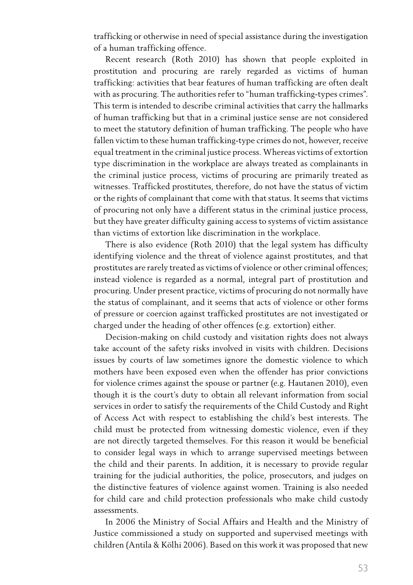trafficking or otherwise in need of special assistance during the investigation of a human trafficking offence.

Recent research (Roth 2010) has shown that people exploited in prostitution and procuring are rarely regarded as victims of human trafficking: activities that bear features of human trafficking are often dealt with as procuring. The authorities refer to "human trafficking-types crimes". This term is intended to describe criminal activities that carry the hallmarks of human trafficking but that in a criminal justice sense are not considered to meet the statutory definition of human trafficking. The people who have fallen victim to these human trafficking-type crimes do not, however, receive equal treatment in the criminal justice process. Whereas victims of extortion type discrimination in the workplace are always treated as complainants in the criminal justice process, victims of procuring are primarily treated as witnesses. Trafficked prostitutes, therefore, do not have the status of victim or the rights of complainant that come with that status. It seems that victims of procuring not only have a different status in the criminal justice process, but they have greater difficulty gaining access to systems of victim assistance than victims of extortion like discrimination in the workplace.

There is also evidence (Roth 2010) that the legal system has difficulty identifying violence and the threat of violence against prostitutes, and that prostitutes are rarely treated as victims of violence or other criminal offences; instead violence is regarded as a normal, integral part of prostitution and procuring. Under present practice, victims of procuring do not normally have the status of complainant, and it seems that acts of violence or other forms of pressure or coercion against trafficked prostitutes are not investigated or charged under the heading of other offences (e.g. extortion) either.

Decision-making on child custody and visitation rights does not always take account of the safety risks involved in visits with children. Decisions issues by courts of law sometimes ignore the domestic violence to which mothers have been exposed even when the offender has prior convictions for violence crimes against the spouse or partner (e.g. Hautanen 2010), even though it is the court's duty to obtain all relevant information from social services in order to satisfy the requirements of the Child Custody and Right of Access Act with respect to establishing the child's best interests. The child must be protected from witnessing domestic violence, even if they are not directly targeted themselves. For this reason it would be beneficial to consider legal ways in which to arrange supervised meetings between the child and their parents. In addition, it is necessary to provide regular training for the judicial authorities, the police, prosecutors, and judges on the distinctive features of violence against women. Training is also needed for child care and child protection professionals who make child custody assessments.

In 2006 the Ministry of Social Affairs and Health and the Ministry of Justice commissioned a study on supported and supervised meetings with children (Antila & Kölhi 2006). Based on this work it was proposed that new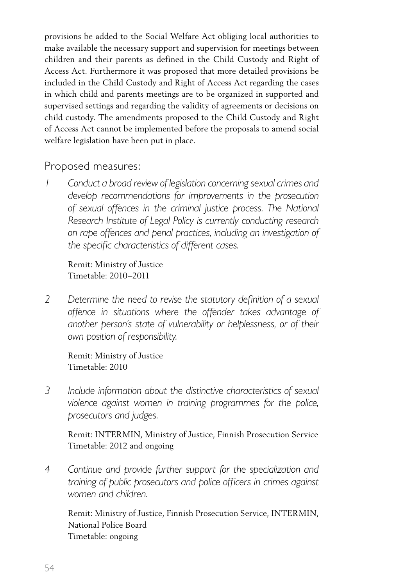provisions be added to the Social Welfare Act obliging local authorities to make available the necessary support and supervision for meetings between children and their parents as defined in the Child Custody and Right of Access Act. Furthermore it was proposed that more detailed provisions be included in the Child Custody and Right of Access Act regarding the cases in which child and parents meetings are to be organized in supported and supervised settings and regarding the validity of agreements or decisions on child custody. The amendments proposed to the Child Custody and Right of Access Act cannot be implemented before the proposals to amend social welfare legislation have been put in place.

#### Proposed measures:

*Conduct a broad review of legislation concerning sexual crimes and develop recommendations for improvements in the prosecution of sexual offences in the criminal justice process. The National Research Institute of Legal Policy is currently conducting research on rape offences and penal practices, including an investigation of the specific characteristics of different cases.*

 Remit: Ministry of Justice Timetable: 2010–2011

*2 Determine the need to revise the statutory definition of a sexual offence in situations where the offender takes advantage of another person's state of vulnerability or helplessness, or of their own position of responsibility.*

 Remit: Ministry of Justice Timetable: 2010

*3 Include information about the distinctive characteristics of sexual violence against women in training programmes for the police, prosecutors and judges.*

 Remit: INTERMIN, Ministry of Justice, Finnish Prosecution Service Timetable: 2012 and ongoing

*4 Continue and provide further support for the specialization and training of public prosecutors and police officers in crimes against women and children.*

 Remit: Ministry of Justice, Finnish Prosecution Service, INTERMIN, National Police Board Timetable: ongoing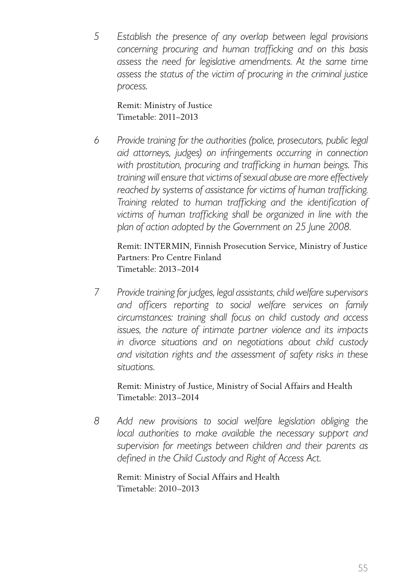*5 Establish the presence of any overlap between legal provisions concerning procuring and human trafficking and on this basis assess the need for legislative amendments. At the same time assess the status of the victim of procuring in the criminal justice process.*

Remit: Ministry of Justice Timetable: 2011–2013

*6 Provide training for the authorities (police, prosecutors, public legal aid attorneys, judges) on infringements occurring in connection with prostitution, procuring and trafficking in human beings. This training will ensure thatvictims ofsexual abuse are more effectively reached by systems of assistance for victims of human trafficking. Training related to human trafficking and the identification of victims of human trafficking shall be organized in line with the plan of action adopted by the Government on 25 June 2008.*

 Remit: INTERMIN, Finnish Prosecution Service, Ministry of Justice Partners: Pro Centre Finland Timetable: 2013–2014

*7 Provide training for judges, legal assistants,child welfare supervisors and officers reporting to social welfare services on family circumstances: training shall focus on child custody and access issues, the nature of intimate partner violence and its impacts in divorce situations and on negotiations about child custody and visitation rights and the assessment of safety risks in these situations.*

 Remit: Ministry of Justice, Ministry of Social Affairs and Health Timetable: 2013–2014

*8 Add new provisions to social welfare legislation obliging the local authorities to make available the necessary support and supervision for meetings between children and their parents as defined in the Child Custody and Right of Access Act.*

 Remit: Ministry of Social Affairs and Health Timetable: 2010–2013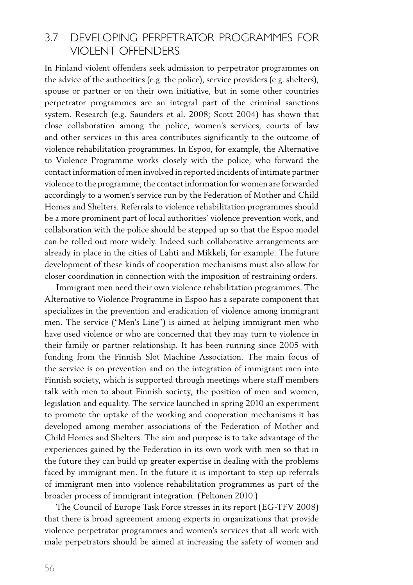#### 3.7 Developing perpetrator programmes for violent offenders

In Finland violent offenders seek admission to perpetrator programmes on the advice of the authorities (e.g. the police), service providers (e.g. shelters), spouse or partner or on their own initiative, but in some other countries perpetrator programmes are an integral part of the criminal sanctions system. Research (e.g. Saunders et al. 2008; Scott 2004) has shown that close collaboration among the police, women's services, courts of law and other services in this area contributes significantly to the outcome of violence rehabilitation programmes. In Espoo, for example, the Alternative to Violence Programme works closely with the police, who forward the contact information of men involved in reported incidents of intimate partner violence to the programme; the contact information for women are forwarded accordingly to a women's service run by the Federation of Mother and Child Homes and Shelters. Referrals to violence rehabilitation programmes should be a more prominent part of local authorities' violence prevention work, and collaboration with the police should be stepped up so that the Espoo model can be rolled out more widely. Indeed such collaborative arrangements are already in place in the cities of Lahti and Mikkeli, for example. The future development of these kinds of cooperation mechanisms must also allow for closer coordination in connection with the imposition of restraining orders.

Immigrant men need their own violence rehabilitation programmes. The Alternative to Violence Programme in Espoo has a separate component that specializes in the prevention and eradication of violence among immigrant men. The service ("Men's Line") is aimed at helping immigrant men who have used violence or who are concerned that they may turn to violence in their family or partner relationship. It has been running since 2005 with funding from the Finnish Slot Machine Association. The main focus of the service is on prevention and on the integration of immigrant men into Finnish society, which is supported through meetings where staff members talk with men to about Finnish society, the position of men and women, legislation and equality. The service launched in spring 2010 an experiment to promote the uptake of the working and cooperation mechanisms it has developed among member associations of the Federation of Mother and Child Homes and Shelters. The aim and purpose is to take advantage of the experiences gained by the Federation in its own work with men so that in the future they can build up greater expertise in dealing with the problems faced by immigrant men. In the future it is important to step up referrals of immigrant men into violence rehabilitation programmes as part of the broader process of immigrant integration. (Peltonen 2010.)

The Council of Europe Task Force stresses in its report (EG-TFV 2008) that there is broad agreement among experts in organizations that provide violence perpetrator programmes and women's services that all work with male perpetrators should be aimed at increasing the safety of women and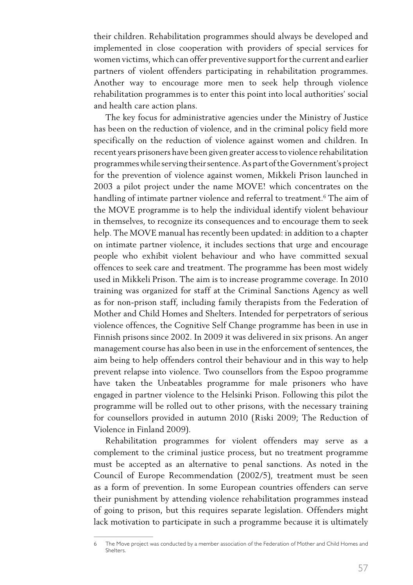their children. Rehabilitation programmes should always be developed and implemented in close cooperation with providers of special services for women victims, which can offer preventive support for the current and earlier partners of violent offenders participating in rehabilitation programmes. Another way to encourage more men to seek help through violence rehabilitation programmes is to enter this point into local authorities' social and health care action plans.

The key focus for administrative agencies under the Ministry of Justice has been on the reduction of violence, and in the criminal policy field more specifically on the reduction of violence against women and children. In recent years prisoners have been given greater accessto violence rehabilitation programmeswhile serving theirsentence.Aspart ofthe Government's project for the prevention of violence against women, Mikkeli Prison launched in 2003 a pilot project under the name MOVE! which concentrates on the handling of intimate partner violence and referral to treatment.<sup>6</sup> The aim of the MOVE programme is to help the individual identify violent behaviour in themselves, to recognize its consequences and to encourage them to seek help. The MOVE manual has recently been updated: in addition to a chapter on intimate partner violence, it includes sections that urge and encourage people who exhibit violent behaviour and who have committed sexual offences to seek care and treatment. The programme has been most widely used in Mikkeli Prison. The aim is to increase programme coverage. In 2010 training was organized for staff at the Criminal Sanctions Agency as well as for non-prison staff, including family therapists from the Federation of Mother and Child Homes and Shelters. Intended for perpetrators of serious violence offences, the Cognitive Self Change programme has been in use in Finnish prisons since 2002. In 2009 it was delivered in six prisons. An anger management course has also been in use in the enforcement of sentences, the aim being to help offenders control their behaviour and in this way to help prevent relapse into violence. Two counsellors from the Espoo programme have taken the Unbeatables programme for male prisoners who have engaged in partner violence to the Helsinki Prison. Following this pilot the programme will be rolled out to other prisons, with the necessary training for counsellors provided in autumn 2010 (Riski 2009; The Reduction of Violence in Finland 2009).

Rehabilitation programmes for violent offenders may serve as a complement to the criminal justice process, but no treatment programme must be accepted as an alternative to penal sanctions. As noted in the Council of Europe Recommendation (2002/5), treatment must be seen as a form of prevention. In some European countries offenders can serve their punishment by attending violence rehabilitation programmes instead of going to prison, but this requires separate legislation. Offenders might lack motivation to participate in such a programme because it is ultimately

<sup>6</sup> The Move project was conducted by a member association of the Federation of Mother and Child Homes and Shelters.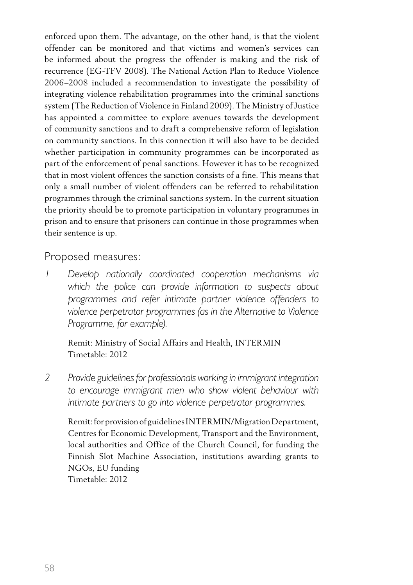enforced upon them. The advantage, on the other hand, is that the violent offender can be monitored and that victims and women's services can be informed about the progress the offender is making and the risk of recurrence (EG-TFV 2008). The National Action Plan to Reduce Violence 2006–2008 included a recommendation to investigate the possibility of integrating violence rehabilitation programmes into the criminal sanctions system (The Reduction of Violence in Finland 2009). The Ministry of Justice has appointed a committee to explore avenues towards the development of community sanctions and to draft a comprehensive reform of legislation on community sanctions. In this connection it will also have to be decided whether participation in community programmes can be incorporated as part of the enforcement of penal sanctions. However it has to be recognized that in most violent offences the sanction consists of a fine. This means that only a small number of violent offenders can be referred to rehabilitation programmes through the criminal sanctions system. In the current situation the priority should be to promote participation in voluntary programmes in prison and to ensure that prisoners can continue in those programmes when their sentence is up.

Proposed measures:

*1 Develop nationally coordinated cooperation mechanisms via which the police can provide information to suspects about programmes and refer intimate partner violence offenders to violence perpetrator programmes (as in the Alternative to Violence Programme, for example).*

 Remit: Ministry of Social Affairs and Health, INTERMIN Timetable: 2012

*2 Provide guidelinesfor professionals working in immigrant integration to encourage immigrant men who show violent behaviour with intimate partners to go into violence perpetrator programmes.*

Remit: for provision of guidelines INTERMIN/Migration Department, Centres for Economic Development, Transport and the Environment, local authorities and Office of the Church Council, for funding the Finnish Slot Machine Association, institutions awarding grants to NGOs, EU funding Timetable: 2012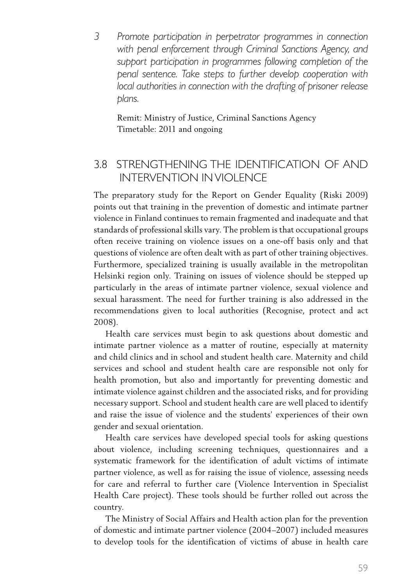*3 Promote participation in perpetrator programmes in connection with penal enforcement through Criminal Sanctions Agency, and support participation in programmes following completion of the penal sentence. Take steps to further develop cooperation with local authorities in connection with the drafting of prisoner release plans.*

 Remit: Ministry of Justice, Criminal Sanctions Agency Timetable: 2011 and ongoing

#### 3.8 Strengthening the identification of and intervention inviolence

The preparatory study for the Report on Gender Equality (Riski 2009) points out that training in the prevention of domestic and intimate partner violence in Finland continues to remain fragmented and inadequate and that standards of professional skills vary. The problem is that occupational groups often receive training on violence issues on a one-off basis only and that questions of violence are often dealt with as part of other training objectives. Furthermore, specialized training is usually available in the metropolitan Helsinki region only. Training on issues of violence should be stepped up particularly in the areas of intimate partner violence, sexual violence and sexual harassment. The need for further training is also addressed in the recommendations given to local authorities (Recognise, protect and act 2008).

Health care services must begin to ask questions about domestic and intimate partner violence as a matter of routine, especially at maternity and child clinics and in school and student health care. Maternity and child services and school and student health care are responsible not only for health promotion, but also and importantly for preventing domestic and intimate violence against children and the associated risks, and for providing necessary support. School and student health care are well placed to identify and raise the issue of violence and the students' experiences of their own gender and sexual orientation.

Health care services have developed special tools for asking questions about violence, including screening techniques, questionnaires and a systematic framework for the identification of adult victims of intimate partner violence, as well as for raising the issue of violence, assessing needs for care and referral to further care (Violence Intervention in Specialist Health Care project). These tools should be further rolled out across the country.

The Ministry of Social Affairs and Health action plan for the prevention of domestic and intimate partner violence (2004–2007) included measures to develop tools for the identification of victims of abuse in health care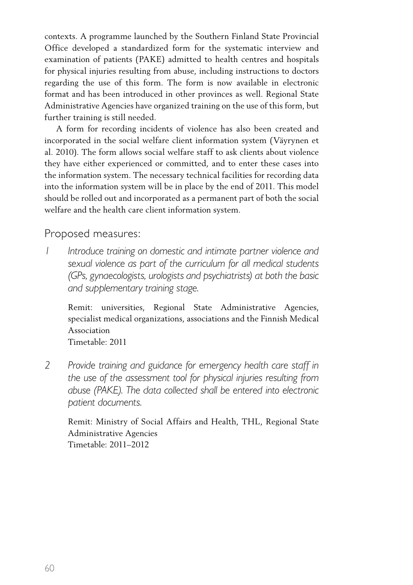contexts. A programme launched by the Southern Finland State Provincial Office developed a standardized form for the systematic interview and examination of patients (PAKE) admitted to health centres and hospitals for physical injuries resulting from abuse, including instructions to doctors regarding the use of this form. The form is now available in electronic format and has been introduced in other provinces as well. Regional State Administrative Agencies have organized training on the use of this form, but further training is still needed.

A form for recording incidents of violence has also been created and incorporated in the social welfare client information system (Väyrynen et al. 2010). The form allows social welfare staff to ask clients about violence they have either experienced or committed, and to enter these cases into the information system. The necessary technical facilities for recording data into the information system will be in place by the end of 2011. This model should be rolled out and incorporated as a permanent part of both the social welfare and the health care client information system.

Proposed measures:

*1 Introduce training on domestic and intimate partner violence and sexual violence as part of the curriculum for all medical students (GPs, gynaecologists, urologists and psychiatrists) at both the basic and supplementary training stage.*

 Remit: universities, Regional State Administrative Agencies, specialist medical organizations, associations and the Finnish Medical Association

 Timetable: 2011

*2 Provide training and guidance for emergency health care staff in the use of the assessment tool for physical injuries resulting from abuse (PAKE). The data collected shall be entered into electronic patient documents.*

 Remit: Ministry of Social Affairs and Health, THL, Regional State Administrative Agencies Timetable: 2011–2012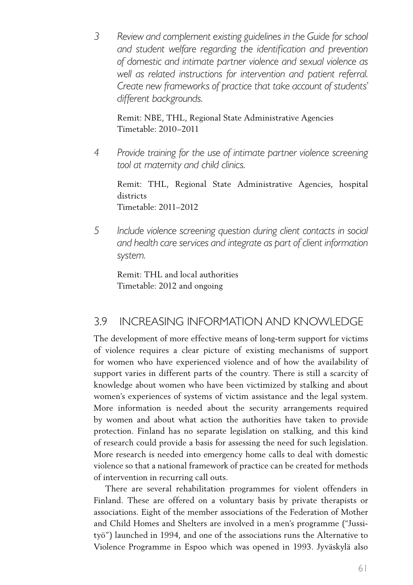*3 Review and complement existing guidelines in the Guide for school and student welfare regarding the identification and prevention of domestic and intimate partner violence and sexual violence as well as related instructions for intervention and patient referral. Create new frameworks of practice that take account of students' different backgrounds.*

 Remit: NBE, THL, Regional State Administrative Agencies Timetable: 2010–2011

*4 Provide training for the use of intimate partner violence screening tool at maternity and child clinics.*

Remit: THL, Regional State Administrative Agencies, hospital districts Timetable: 2011–2012

*5 Include violence screening question during client contacts in social and health care services and integrate as part of client information system.*

Remit: THL and local authorities Timetable: 2012 and ongoing

#### 3.9 Increasing information and knowledge

The development of more effective means of long-term support for victims of violence requires a clear picture of existing mechanisms of support for women who have experienced violence and of how the availability of support varies in different parts of the country. There is still a scarcity of knowledge about women who have been victimized by stalking and about women's experiences of systems of victim assistance and the legal system. More information is needed about the security arrangements required by women and about what action the authorities have taken to provide protection. Finland has no separate legislation on stalking, and this kind of research could provide a basis for assessing the need for such legislation. More research is needed into emergency home calls to deal with domestic violence so that a national framework of practice can be created for methods of intervention in recurring call outs.

There are several rehabilitation programmes for violent offenders in Finland. These are offered on a voluntary basis by private therapists or associations. Eight of the member associations of the Federation of Mother and Child Homes and Shelters are involved in a men's programme ("Jussityö") launched in 1994, and one of the associations runs the Alternative to Violence Programme in Espoo which was opened in 1993. Jyväskylä also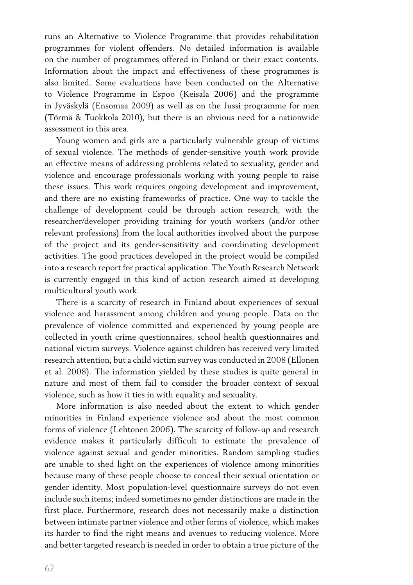runs an Alternative to Violence Programme that provides rehabilitation programmes for violent offenders. No detailed information is available on the number of programmes offered in Finland or their exact contents. Information about the impact and effectiveness of these programmes is also limited. Some evaluations have been conducted on the Alternative to Violence Programme in Espoo (Keisala 2006) and the programme in Jyväskylä (Ensomaa 2009) as well as on the Jussi programme for men (Törmä & Tuokkola 2010), but there is an obvious need for a nationwide assessment in this area.

Young women and girls are a particularly vulnerable group of victims of sexual violence. The methods of gender-sensitive youth work provide an effective means of addressing problems related to sexuality, gender and violence and encourage professionals working with young people to raise these issues. This work requires ongoing development and improvement, and there are no existing frameworks of practice. One way to tackle the challenge of development could be through action research, with the researcher/developer providing training for youth workers (and/or other relevant professions) from the local authorities involved about the purpose of the project and its gender-sensitivity and coordinating development activities. The good practices developed in the project would be compiled into a research report for practical application. The Youth Research Network is currently engaged in this kind of action research aimed at developing multicultural youth work.

There is a scarcity of research in Finland about experiences of sexual violence and harassment among children and young people. Data on the prevalence of violence committed and experienced by young people are collected in youth crime questionnaires, school health questionnaires and national victim surveys. Violence against children has received very limited research attention, but a child victim survey was conducted in 2008 (Ellonen et al. 2008). The information yielded by these studies is quite general in nature and most of them fail to consider the broader context of sexual violence, such as how it ties in with equality and sexuality.

More information is also needed about the extent to which gender minorities in Finland experience violence and about the most common forms of violence (Lehtonen 2006). The scarcity of follow-up and research evidence makes it particularly difficult to estimate the prevalence of violence against sexual and gender minorities. Random sampling studies are unable to shed light on the experiences of violence among minorities because many of these people choose to conceal their sexual orientation or gender identity. Most population-level questionnaire surveys do not even include such items; indeed sometimes no gender distinctions are made in the first place. Furthermore, research does not necessarily make a distinction between intimate partner violence and other forms of violence, which makes its harder to find the right means and avenues to reducing violence. More and better targeted research is needed in order to obtain a true picture of the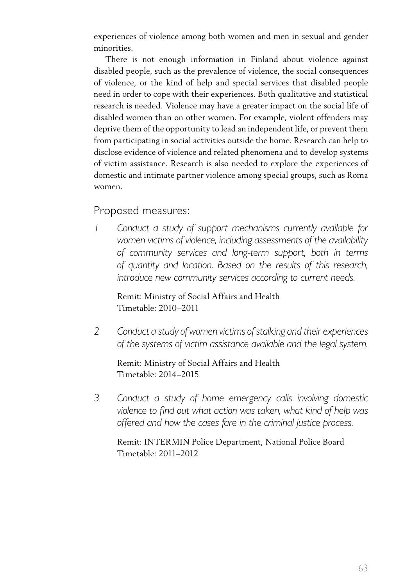experiences of violence among both women and men in sexual and gender minorities.

There is not enough information in Finland about violence against disabled people, such as the prevalence of violence, the social consequences of violence, or the kind of help and special services that disabled people need in order to cope with their experiences. Both qualitative and statistical research is needed. Violence may have a greater impact on the social life of disabled women than on other women. For example, violent offenders may deprive them of the opportunity to lead an independent life, or prevent them from participating in social activities outside the home. Research can help to disclose evidence of violence and related phenomena and to develop systems of victim assistance. Research is also needed to explore the experiences of domestic and intimate partner violence among special groups, such as Roma women.

#### Proposed measures:

*1 Conduct a study of support mechanisms currently available for women victims of violence, including assessments of the availability of community services and long-term support, both in terms of quantity and location. Based on the results of this research, introduce new community services according to current needs.*

 Remit: Ministry of Social Affairs and Health Timetable: 2010–2011

*2 Conduct a study of women victims ofstalking and their experiences of the systems of victim assistance available and the legal system.*

 Remit: Ministry of Social Affairs and Health Timetable: 2014–2015

*3 Conduct a study of home emergency calls involving domestic violence to find out what action was taken, what kind of help was offered and how the cases fare in the criminal justice process.*

Remit: INTERMIN Police Department, National Police Board Timetable: 2011–2012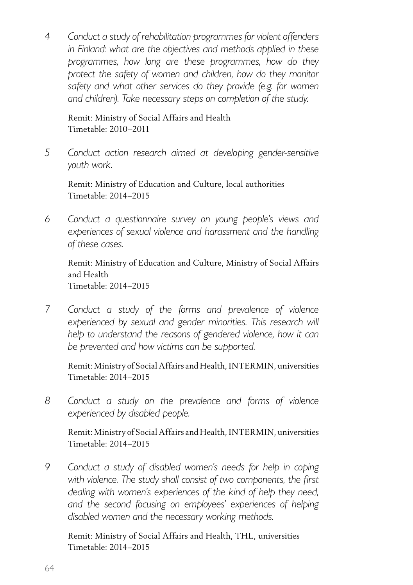*4 Conduct a study of rehabilitation programmes for violent offenders in Finland: what are the objectives and methods applied in these programmes, how long are these programmes, how do they protect the safety of women and children, how do they monitor safety and what other services do they provide (e.g. for women and children). Take necessary steps on completion of the study.*

 Remit: Ministry of Social Affairs and Health Timetable: 2010–2011

*5 Conduct action research aimed at developing gender-sensitive youth work.*

 Remit: Ministry of Education and Culture, local authorities Timetable: 2014–2015

*6 Conduct a questionnaire survey on young people's views and experiences of sexual violence and harassment and the handling of these cases.* 

 Remit: Ministry of Education and Culture, Ministry of Social Affairs and Health Timetable: 2014–2015

*7 Conduct a study of the forms and prevalence of violence experienced by sexual and gender minorities. This research will help to understand the reasons of gendered violence, how it can be prevented and how victims can be supported.*

 Remit: Ministry of Social Affairs and Health,INTERMIN, universities Timetable: 2014–2015

*8 Conduct a study on the prevalence and forms of violence experienced by disabled people.*

 Remit: Ministry of Social Affairs and Health,INTERMIN, universities Timetable: 2014–2015

*9 Conduct a study of disabled women's needs for help in coping with violence. The study shall consist of two components, the first dealing with women's experiences of the kind of help they need, and the second focusing on employees' experiences of helping disabled women and the necessary working methods.* 

 Remit: Ministry of Social Affairs and Health, THL, universities Timetable: 2014–2015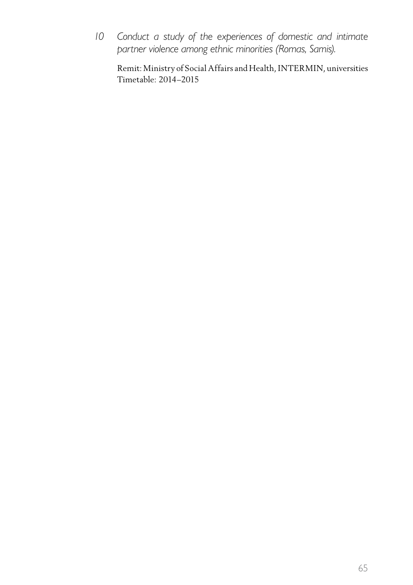*10 Conduct a study of the experiences of domestic and intimate partner violence among ethnic minorities (Romas, Samis).*

 Remit: Ministry of Social Affairs and Health,INTERMIN, universities Timetable: 2014–2015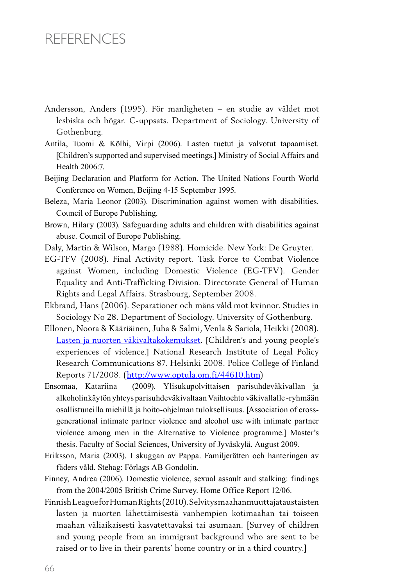## **REFERENCES**

- Andersson, Anders (1995). För manligheten en studie av våldet mot lesbiska och bögar. C-uppsats. Department of Sociology. University of Gothenburg.
- Antila, Tuomi & Kölhi, Virpi (2006). Lasten tuetut ja valvotut tapaamiset. [Children's supported and supervised meetings.] Ministry of Social Affairs and Health 2006:7.
- Beijing Declaration and Platform for Action. The United Nations Fourth World Conference on Women, Beijing 4-15 September 1995.
- Beleza, Maria Leonor (2003). Discrimination against women with disabilities. Council of Europe Publishing.
- Brown, Hilary (2003). Safeguarding adults and children with disabilities against abuse. Council of Europe Publishing.
- Daly, Martin & Wilson, Margo (1988). Homicide. New York: De Gruyter.
- EG-TFV (2008). Final Activity report. Task Force to Combat Violence against Women, including Domestic Violence (EG-TFV). Gender Equality and Anti-Trafficking Division. Directorate General of Human Rights and Legal Affairs. Strasbourg, September 2008.
- Ekbrand, Hans (2006). Separationer och mäns våld mot kvinnor. Studies in Sociology No 28. Department of Sociology. University of Gothenburg.
- Ellonen, Noora & Kääriäinen, Juha & Salmi, Venla & Sariola, Heikki (2008). Lasten ja nuorten väkivaltakokemukset. [Children's and young people's experiences of violence.] National Research Institute of Legal Policy Research Communications 87. Helsinki 2008. Police College of Finland Reports 71/2008. (http://www.optula.om.fi/44610.htm)
- Ensomaa, Katariina (2009). Ylisukupolvittaisen parisuhdeväkivallan ja alkoholinkäytön yhteys parisuhdeväkivaltaan Vaihtoehto väkivallalle -ryhmään osallistuneilla miehillä ja hoito-ohjelman tuloksellisuus. [Association of crossgenerational intimate partner violence and alcohol use with intimate partner violence among men in the Alternative to Violence programme.] Master's thesis. Faculty of Social Sciences, University of Jyväskylä. August 2009.
- Eriksson, Maria (2003). I skuggan av Pappa. Familjerätten och hanteringen av fäders våld. Stehag: Förlags AB Gondolin.
- Finney, Andrea (2006). Domestic violence, sexual assault and stalking: findings from the 2004/2005 British Crime Survey. Home Office Report 12/06.
- FinnishLeagueforHumanRights(2010).Selvitysmaahanmuuttajataustaisten lasten ja nuorten lähettämisestä vanhempien kotimaahan tai toiseen maahan väliaikaisesti kasvatettavaksi tai asumaan. [Survey of children and young people from an immigrant background who are sent to be raised or to live in their parents' home country or in a third country.]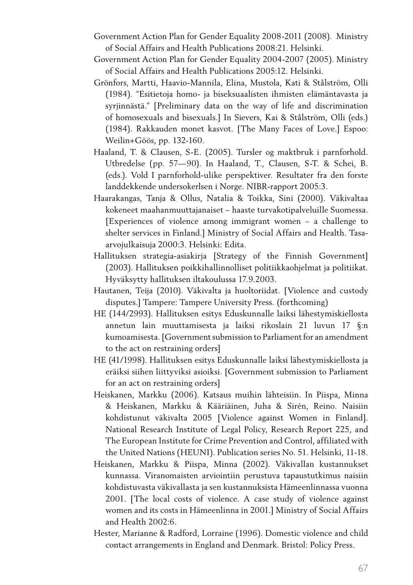- Government Action Plan for Gender Equality 2008-2011 (2008). Ministry of Social Affairs and Health Publications 2008:21. Helsinki.
- Government Action Plan for Gender Equality 2004-2007 (2005). Ministry of Social Affairs and Health Publications 2005:12. Helsinki.
- Grönfors, Martti, Haavio-Mannila, Elina, Mustola, Kati & Stålström, Olli (1984). "Esitietoja homo- ja biseksuaalisten ihmisten elämäntavasta ja syrjinnästä." [Preliminary data on the way of life and discrimination of homosexuals and bisexuals.] In Sievers, Kai & Stålström, Olli (eds.) (1984). Rakkauden monet kasvot. [The Many Faces of Love.] Espoo: Weilin+Göös, pp. 132-160.
- Haaland, T. & Clausen, S-E. (2005). Tursler og maktbruk i parnforhold. Utbredelse (pp. 57—90). In Haaland, T., Clausen, S-T. & Schei, B. (eds.). Vold I parnforhold-ulike perspektiver. Resultater fra den forste landdekkende undersokerlsen i Norge. NIBR-rapport 2005:3.
- Haarakangas, Tanja & Ollus, Natalia & Toikka, Sini (2000). Väkivaltaa kokeneet maahanmuuttajanaiset – haaste turvakotipalveluille Suomessa. [Experiences of violence among immigrant women – a challenge to shelter services in Finland.] Ministry of Social Affairs and Health. Tasaarvojulkaisuja 2000:3. Helsinki: Edita.
- Hallituksen strategia-asiakirja [Strategy of the Finnish Government] (2003). Hallituksen poikkihallinnolliset politiikkaohjelmat ja politiikat. Hyväksytty hallituksen iltakoulussa 17.9.2003.
- Hautanen, Teija (2010). Väkivalta ja huoltoriidat. [Violence and custody disputes.] Tampere: Tampere University Press. (forthcoming)
- HE (144/2993). Hallituksen esitys Eduskunnalle laiksi lähestymiskiellosta annetun lain muuttamisesta ja laiksi rikoslain 21 luvun 17 §:n kumoamisesta. [Government submission to Parliament for an amendment to the act on restraining orders]
- HE (41/1998). Hallituksen esitys Eduskunnalle laiksi lähestymiskiellosta ja eräiksi siihen liittyviksi asioiksi. [Government submission to Parliament for an act on restraining orders]
- Heiskanen, Markku (2006). Katsaus muihin lähteisiin. In Piispa, Minna & Heiskanen, Markku & Kääriäinen, Juha & Sirén, Reino. Naisiin kohdistunut väkivalta 2005 [Violence against Women in Finland]. National Research Institute of Legal Policy, Research Report 225, and The European Institute for Crime Prevention and Control, affiliated with the United Nations (HEUNI). Publication series No. 51. Helsinki, 11-18.
- Heiskanen, Markku & Piispa, Minna (2002). Väkivallan kustannukset kunnassa. Viranomaisten arviointiin perustuva tapaustutkimus naisiin kohdistuvasta väkivallasta ja sen kustannuksista Hämeenlinnassa vuonna 2001. [The local costs of violence. A case study of violence against women and its costs in Hämeenlinna in 2001.] Ministry of Social Affairs and Health 2002:6.
- Hester, Marianne & Radford, Lorraine (1996). Domestic violence and child contact arrangements in England and Denmark. Bristol: Policy Press.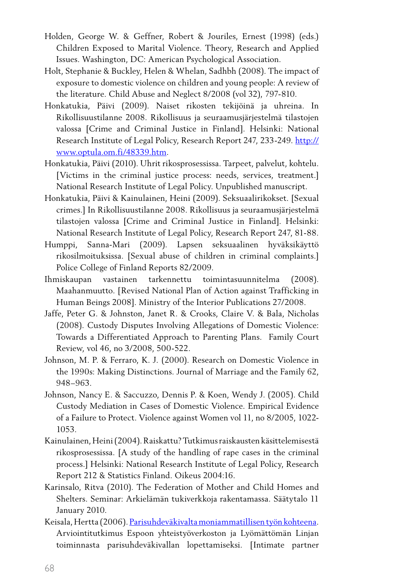- Holden, George W. & Geffner, Robert & Jouriles, Ernest (1998) (eds.) Children Exposed to Marital Violence. Theory, Research and Applied Issues. Washington, DC: American Psychological Association.
- Holt, Stephanie & Buckley, Helen & Whelan, Sadhbh (2008). The impact of exposure to domestic violence on children and young people: A review of the literature. Child Abuse and Neglect 8/2008 (vol 32), 797-810.
- Honkatukia, Päivi (2009). Naiset rikosten tekijöinä ja uhreina. In Rikollisuustilanne 2008. Rikollisuus ja seuraamusjärjestelmä tilastojen valossa [Crime and Criminal Justice in Finland]. Helsinki: National Research Institute of Legal Policy, Research Report 247, 233-249. http:// www.optula.om.fi/48339.htm.
- Honkatukia, Päivi (2010). Uhrit rikosprosessissa. Tarpeet, palvelut, kohtelu. [Victims in the criminal justice process: needs, services, treatment.] National Research Institute of Legal Policy. Unpublished manuscript.
- Honkatukia, Päivi & Kainulainen, Heini (2009). Seksuaalirikokset. [Sexual crimes.] In Rikollisuustilanne 2008. Rikollisuus ja seuraamusjärjestelmä tilastojen valossa [Crime and Criminal Justice in Finland]. Helsinki: National Research Institute of Legal Policy, Research Report 247, 81-88.
- Humppi, Sanna-Mari (2009). Lapsen seksuaalinen hyväksikäyttö rikosilmoituksissa. [Sexual abuse of children in criminal complaints.] Police College of Finland Reports 82/2009.
- Ihmiskaupan vastainen tarkennettu toimintasuunnitelma (2008). Maahanmuutto. [Revised National Plan of Action against Trafficking in Human Beings 2008]. Ministry of the Interior Publications 27/2008.
- Jaffe, Peter G. & Johnston, Janet R. & Crooks, Claire V. & Bala, Nicholas (2008). Custody Disputes Involving Allegations of Domestic Violence: Towards a Differentiated Approach to Parenting Plans. Family Court Review, vol 46, no 3/2008, 500-522.
- Johnson, M. P. & Ferraro, K. J. (2000). Research on Domestic Violence in the 1990s: Making Distinctions. Journal of Marriage and the Family 62, 948–963.
- Johnson, Nancy E. & Saccuzzo, Dennis P. & Koen, Wendy J. (2005). Child Custody Mediation in Cases of Domestic Violence. Empirical Evidence of a Failure to Protect. Violence against Women vol 11, no 8/2005, 1022- 1053.
- Kainulainen, Heini(2004).Raiskattu?Tutkimusraiskausten käsittelemisestä rikosprosessissa. [A study of the handling of rape cases in the criminal process.] Helsinki: National Research Institute of Legal Policy, Research Report 212 & Statistics Finland. Oikeus 2004:16.
- Karinsalo, Ritva (2010). The Federation of Mother and Child Homes and Shelters. Seminar: Arkielämän tukiverkkoja rakentamassa. Säätytalo 11 January 2010.
- Keisala, Hertta (2006). Parisuhdeväkivalta moniammatillisen työn kohteena. Arviointitutkimus Espoon yhteistyöverkoston ja Lyömättömän Linjan toiminnasta parisuhdeväkivallan lopettamiseksi. [Intimate partner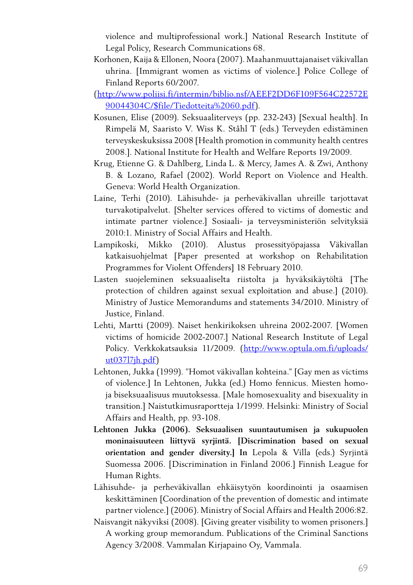violence and multiprofessional work.] National Research Institute of Legal Policy, Research Communications 68.

- Korhonen, Kaija & Ellonen, Noora (2007). Maahanmuuttajanaiset väkivallan uhrina. [Immigrant women as victims of violence.] Police College of Finland Reports 60/2007.
- (http://www.poliisi.fi/intermin/biblio.nsf/AEEF2DD6F109F564C22572E 90044304C/\$file/Tiedotteita%2060.pdf).
- Kosunen, Elise (2009). Seksuaaliterveys (pp. 232-243) [Sexual health]. In Rimpelä M, Saaristo V. Wiss K. Ståhl T (eds.) Terveyden edistäminen terveyskeskuksissa 2008 [Health promotion in community health centres 2008.]. National Institute for Health and Welfare Reports 19/2009.
- Krug, Etienne G. & Dahlberg, Linda L. & Mercy, James A. & Zwi, Anthony B. & Lozano, Rafael (2002). World Report on Violence and Health. Geneva: World Health Organization.
- Laine, Terhi (2010). Lähisuhde- ja perheväkivallan uhreille tarjottavat turvakotipalvelut. [Shelter services offered to victims of domestic and intimate partner violence.] Sosiaali- ja terveysministeriön selvityksiä 2010:1. Ministry of Social Affairs and Health.
- Lampikoski, Mikko (2010). Alustus prosessityöpajassa Väkivallan katkaisuohjelmat [Paper presented at workshop on Rehabilitation Programmes for Violent Offenders] 18 February 2010.
- Lasten suojeleminen seksuaaliselta riistolta ja hyväksikäytöltä [The protection of children against sexual exploitation and abuse.] (2010). Ministry of Justice Memorandums and statements 34/2010. Ministry of Justice, Finland.
- Lehti, Martti (2009). Naiset henkirikoksen uhreina 2002-2007. [Women victims of homicide 2002-2007.] National Research Institute of Legal Policy. Verkkokatsauksia 11/2009. (http://www.optula.om.fi/uploads/ ut037l7jh.pdf)
- Lehtonen, Jukka (1999). "Homot väkivallan kohteina." [Gay men as victims of violence.] In Lehtonen, Jukka (ed.) Homo fennicus. Miesten homoja biseksuaalisuus muutoksessa. [Male homosexuality and bisexuality in transition.] Naistutkimusraportteja 1/1999. Helsinki: Ministry of Social Affairs and Health, pp. 93-108.
- **Lehtonen Jukka (2006). Seksuaalisen suuntautumisen ja sukupuolen moninaisuuteen liittyvä syrjintä. [Discrimination based on sexual orientation and gender diversity.] In** Lepola & Villa (eds.) Syrjintä Suomessa 2006. [Discrimination in Finland 2006.] Finnish League for Human Rights.
- Lähisuhde- ja perheväkivallan ehkäisytyön koordinointi ja osaamisen keskittäminen [Coordination of the prevention of domestic and intimate partner violence.] (2006). Ministry of Social Affairs and Health 2006:82.
- Naisvangit näkyviksi (2008). [Giving greater visibility to women prisoners.] A working group memorandum. Publications of the Criminal Sanctions Agency 3/2008. Vammalan Kirjapaino Oy, Vammala.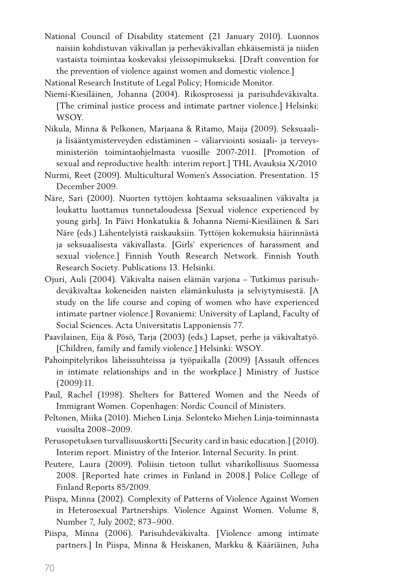- National Council of Disability statement (21 January 2010). Luonnos naisiin kohdistuvan väkivallan ja perheväkivallan ehkäisemistä ja niiden vastaista toimintaa koskevaksi yleissopimukseksi. [Draft convention for the prevention of violence against women and domestic violence.]
- National Research Institute of Legal Policy; Homicide Monitor.
- Niemi-Kiesiläinen, Johanna (2004). Rikosprosessi ja parisuhdeväkivalta. [The criminal justice process and intimate partner violence.] Helsinki: WSOY.
- Nikula, Minna & Pelkonen, Marjaana & Ritamo, Maija (2009). Seksuaalija lisääntymisterveyden edistäminen – väliarviointi sosiaali- ja terveysministeriön toimintaohjelmasta vuosille 2007-2011. [Promotion of sexual and reproductive health: interim report.] THL Avauksia X/2010
- Nurmi, Reet (2009). Multicultural Women's Association. Presentation. 15 December 2009.
- Näre, Sari (2000). Nuorten tyttöjen kohtaama seksuaalinen väkivalta ja loukattu luottamus tunnetaloudessa [Sexual violence experienced by young girls]. In Päivi Honkatukia & Johanna Niemi-Kiesiläinen & Sari Näre (eds.) Lähentelyistä raiskauksiin. Tyttöjen kokemuksia häirinnästä ja seksuaalisesta väkivallasta. [Girls' experiences of harassment and sexual violence.] Finnish Youth Research Network. Finnish Youth Research Society. Publications 13. Helsinki.
- Ojuri, Auli (2004). Väkivalta naisen elämän varjona Tutkimus parisuhdeväkivaltaa kokeneiden naisten elämänkulusta ja selviytymisestä. [A study on the life course and coping of women who have experienced intimate partner violence.] Rovaniemi: University of Lapland, Faculty of Social Sciences. Acta Universitatis Lapponiensis 77.
- Paavilainen, Eija & Pösö, Tarja (2003) (eds.) Lapset, perhe ja väkivaltatyö. [Children, family and family violence.] Helsinki: WSOY.
- Pahoinpitelyrikos läheissuhteissa ja työpaikalla (2009) [Assault offences in intimate relationships and in the workplace.] Ministry of Justice (2009):11.
- Paul, Rachel (1998). Shelters for Battered Women and the Needs of Immigrant Women. Copenhagen: Nordic Council of Ministers.
- Peltonen, Miika (2010). Miehen Linja. Selonteko Miehen Linja-toiminnasta vuosilta 2008–2009.
- Perusopetuksen turvallisuuskortti [Security card in basic education.] (2010). Interim report. Ministry of the Interior. Internal Security. In print.
- Peutere, Laura (2009). Poliisin tietoon tullut viharikollisuus Suomessa 2008. [Reported hate crimes in Finland in 2008.] Police College of Finland Reports 85/2009.
- Piispa, Minna (2002). Complexity of Patterns of Violence Against Women in Heterosexual Partnerships. Violence Against Women. Volume 8, Number 7, July 2002; 873–900.
- Piispa, Minna (2006). Parisuhdeväkivalta. [Violence among intimate partners.] In Piispa, Minna & Heiskanen, Markku & Kääriäinen, Juha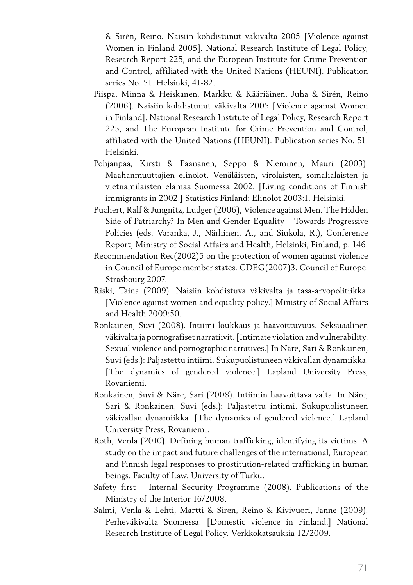& Sirén, Reino. Naisiin kohdistunut väkivalta 2005 [Violence against Women in Finland 2005]. National Research Institute of Legal Policy, Research Report 225, and the European Institute for Crime Prevention and Control, affiliated with the United Nations (HEUNI). Publication series No. 51. Helsinki, 41-82.

- Piispa, Minna & Heiskanen, Markku & Kääriäinen, Juha & Sirén, Reino (2006). Naisiin kohdistunut väkivalta 2005 [Violence against Women in Finland]. National Research Institute of Legal Policy, Research Report 225, and The European Institute for Crime Prevention and Control, affiliated with the United Nations (HEUNI). Publication series No. 51. Helsinki.
- Pohjanpää, Kirsti & Paananen, Seppo & Nieminen, Mauri (2003). Maahanmuuttajien elinolot. Venäläisten, virolaisten, somalialaisten ja vietnamilaisten elämää Suomessa 2002. [Living conditions of Finnish immigrants in 2002.] Statistics Finland: Elinolot 2003:1. Helsinki.
- Puchert, Ralf & Jungnitz, Ludger (2006), Violence against Men. The Hidden Side of Patriarchy? In Men and Gender Equality – Towards Progressive Policies (eds. Varanka, J., Närhinen, A., and Siukola, R.), Conference Report, Ministry of Social Affairs and Health, Helsinki, Finland, p. 146.
- Recommendation Rec(2002)5 on the protection of women against violence in Council of Europe member states. CDEG(2007)3. Council of Europe. Strasbourg 2007.
- Riski, Taina (2009). Naisiin kohdistuva väkivalta ja tasa-arvopolitiikka. [Violence against women and equality policy.] Ministry of Social Affairs and Health 2009:50.
- Ronkainen, Suvi (2008). Intiimi loukkaus ja haavoittuvuus. Seksuaalinen väkivalta ja pornografiset narratiivit. [Intimate violation and vulnerability. Sexual violence and pornographic narratives.] In Näre, Sari & Ronkainen, Suvi (eds.): Paljastettu intiimi. Sukupuolistuneen väkivallan dynamiikka. [The dynamics of gendered violence.] Lapland University Press, Rovaniemi.
- Ronkainen, Suvi & Näre, Sari (2008). Intiimin haavoittava valta. In Näre, Sari & Ronkainen, Suvi (eds.): Paljastettu intiimi. Sukupuolistuneen väkivallan dynamiikka. [The dynamics of gendered violence.] Lapland University Press, Rovaniemi.
- Roth, Venla (2010). Defining human trafficking, identifying its victims. A study on the impact and future challenges of the international, European and Finnish legal responses to prostitution-related trafficking in human beings. Faculty of Law. University of Turku.
- Safety first Internal Security Programme (2008). Publications of the Ministry of the Interior 16/2008.
- Salmi, Venla & Lehti, Martti & Siren, Reino & Kivivuori, Janne (2009). Perheväkivalta Suomessa. [Domestic violence in Finland.] National Research Institute of Legal Policy. Verkkokatsauksia 12/2009.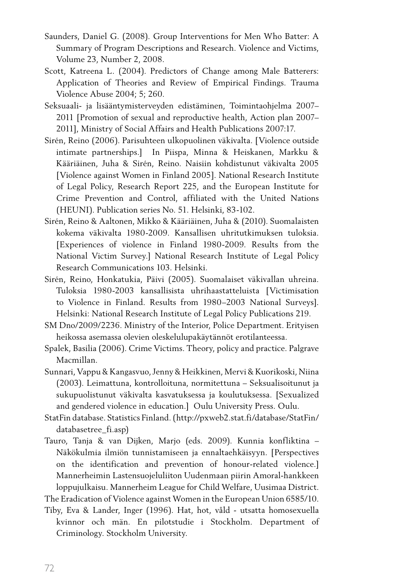- Saunders, Daniel G. (2008). Group Interventions for Men Who Batter: A Summary of Program Descriptions and Research. Violence and Victims, Volume 23, Number 2, 2008.
- Scott, Katreena L. (2004). Predictors of Change among Male Batterers: Application of Theories and Review of Empirical Findings. Trauma Violence Abuse 2004; 5; 260.
- Seksuaali- ja lisääntymisterveyden edistäminen, Toimintaohjelma 2007– 2011 [Promotion of sexual and reproductive health, Action plan 2007– 2011], Ministry of Social Affairs and Health Publications 2007:17.
- Sirén, Reino (2006). Parisuhteen ulkopuolinen väkivalta. [Violence outside intimate partnerships.] In Piispa, Minna & Heiskanen, Markku & Kääriäinen, Juha & Sirén, Reino. Naisiin kohdistunut väkivalta 2005 [Violence against Women in Finland 2005]. National Research Institute of Legal Policy, Research Report 225, and the European Institute for Crime Prevention and Control, affiliated with the United Nations (HEUNI). Publication series No. 51. Helsinki, 83-102.
- Sirén, Reino & Aaltonen, Mikko & Kääriäinen, Juha & (2010). Suomalaisten kokema väkivalta 1980-2009. Kansallisen uhritutkimuksen tuloksia. [Experiences of violence in Finland 1980-2009. Results from the National Victim Survey.] National Research Institute of Legal Policy Research Communications 103. Helsinki.
- Sirén, Reino, Honkatukia, Päivi (2005). Suomalaiset väkivallan uhreina. Tuloksia 1980-2003 kansallisista uhrihaastatteluista [Victimisation to Violence in Finland. Results from 1980–2003 National Surveys]. Helsinki: National Research Institute of Legal Policy Publications 219.
- SM Dno/2009/2236. Ministry of the Interior, Police Department. Erityisen heikossa asemassa olevien oleskelulupakäytännöt erotilanteessa.
- Spalek, Basilia (2006). Crime Victims. Theory, policy and practice. Palgrave Macmillan.
- Sunnari, Vappu & Kangasvuo,Jenny & Heikkinen, Mervi & Kuorikoski, Niina (2003). Leimattuna, kontrolloituna, normitettuna – Seksualisoitunut ja sukupuolistunut väkivalta kasvatuksessa ja koulutuksessa. [Sexualized and gendered violence in education.] Oulu University Press. Oulu.
- StatFin database. Statistics Finland.(http://pxweb2.stat.fi/database/StatFin/ databasetree\_fi.asp)
- Tauro, Tanja & van Dijken, Marjo (eds. 2009). Kunnia konfliktina Näkökulmia ilmiön tunnistamiseen ja ennaltaehkäisyyn. [Perspectives on the identification and prevention of honour-related violence.] Mannerheimin Lastensuojeluliiton Uudenmaan piirin Amoral-hankkeen loppujulkaisu. Mannerheim League for Child Welfare, Uusimaa District.
- The Eradication of Violence against Women in the European Union 6585/10.
- Tiby, Eva & Lander, Inger (1996). Hat, hot, våld utsatta homosexuella kvinnor och män. En pilotstudie i Stockholm. Department of Criminology. Stockholm University.